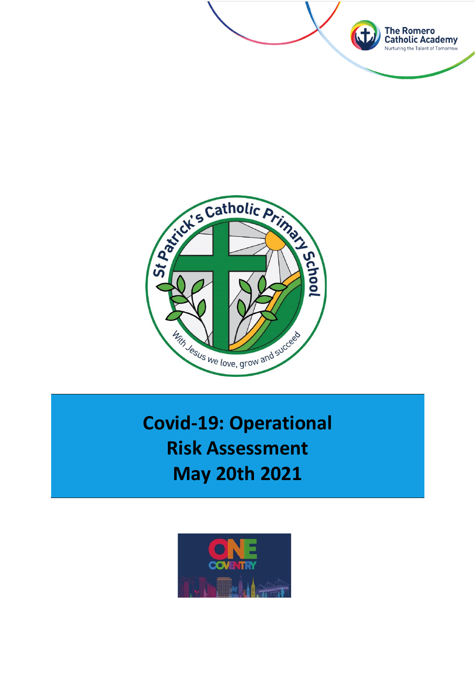



**Covid-19: Operational Risk Assessment May 20th 2021**

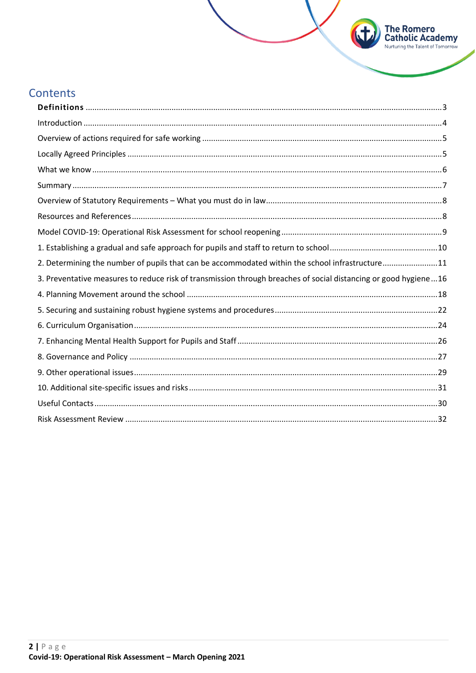# **Contents**

| 2. Determining the number of pupils that can be accommodated within the school infrastructure11                 |  |
|-----------------------------------------------------------------------------------------------------------------|--|
| 3. Preventative measures to reduce risk of transmission through breaches of social distancing or good hygiene16 |  |
|                                                                                                                 |  |
|                                                                                                                 |  |
|                                                                                                                 |  |
|                                                                                                                 |  |
|                                                                                                                 |  |
|                                                                                                                 |  |
|                                                                                                                 |  |
|                                                                                                                 |  |
|                                                                                                                 |  |

**The Romero<br>Catholic Academy**<br>Nurturing the Talent of Tomorrow

63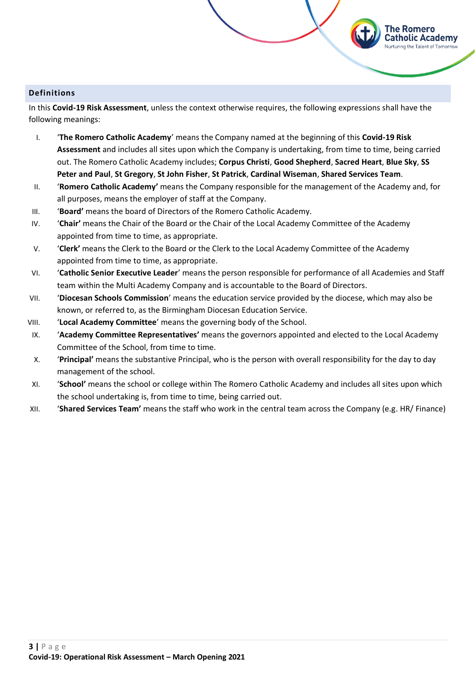#### <span id="page-2-0"></span>**Definitions**

In this **Covid-19 Risk Assessment**, unless the context otherwise requires, the following expressions shall have the following meanings:

The Romero

atholic Academy:

- I. '**The Romero Catholic Academy**' means the Company named at the beginning of this **Covid-19 Risk Assessment** and includes all sites upon which the Company is undertaking, from time to time, being carried out. The Romero Catholic Academy includes; **Corpus Christi**, **Good Shepherd**, **Sacred Heart**, **Blue Sky**, **SS Peter and Paul**, **St Gregory**, **St John Fisher**, **St Patrick**, **Cardinal Wiseman**, **Shared Services Team**.
- II. '**Romero Catholic Academy'** means the Company responsible for the management of the Academy and, for all purposes, means the employer of staff at the Company.
- III. '**Board'** means the board of Directors of the Romero Catholic Academy.
- IV. '**Chair'** means the Chair of the Board or the Chair of the Local Academy Committee of the Academy appointed from time to time, as appropriate.
- V. '**Clerk'** means the Clerk to the Board or the Clerk to the Local Academy Committee of the Academy appointed from time to time, as appropriate.
- VI. '**Catholic Senior Executive Leader**' means the person responsible for performance of all Academies and Staff team within the Multi Academy Company and is accountable to the Board of Directors.
- VII. '**Diocesan Schools Commission**' means the education service provided by the diocese, which may also be known, or referred to, as the Birmingham Diocesan Education Service.
- VIII. '**Local Academy Committee**' means the governing body of the School.
- IX. '**Academy Committee Representatives'** means the governors appointed and elected to the Local Academy Committee of the School, from time to time.
- X. '**Principal'** means the substantive Principal, who is the person with overall responsibility for the day to day management of the school.
- XI. '**School'** means the school or college within The Romero Catholic Academy and includes all sites upon which the school undertaking is, from time to time, being carried out.
- XII. '**Shared Services Team'** means the staff who work in the central team across the Company (e.g. HR/ Finance)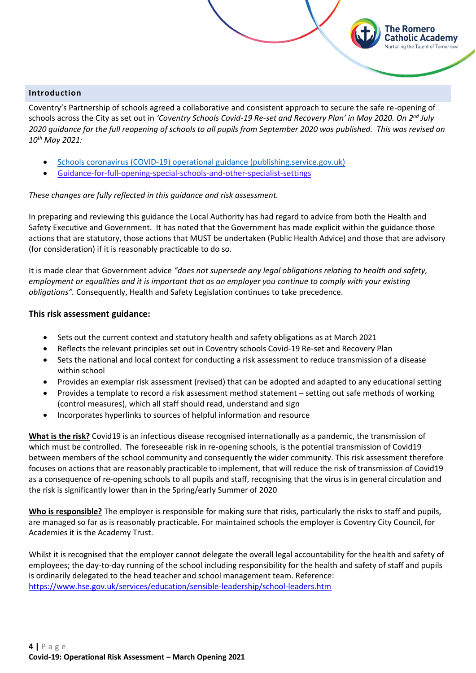#### <span id="page-3-0"></span>**Introduction**

Coventry's Partnership of schools agreed a collaborative and consistent approach to secure the safe re-opening of schools across the City as set out in *'Coventry Schools Covid-19 Re-set and Recovery Plan' in May 2020. On 2nd July 2020 guidance for the full reopening of schools to all pupils from September 2020 was published. This was revised on 10th May 2021:* 

The Romero atholic Academy

- [Schools coronavirus \(COVID-19\) operational guidance \(publishing.service.gov.uk\)](https://assets.publishing.service.gov.uk/government/uploads/system/uploads/attachment_data/file/985138/10_May_Schools_Guidance.pdf)
- [Guidance-for-full-opening-special-schools-and-other-specialist-settings](https://www.gov.uk/government/publications/guidance-for-full-opening-special-schools-and-other-specialist-settings)

#### *These changes are fully reflected in this guidance and risk assessment.*

In preparing and reviewing this guidance the Local Authority has had regard to advice from both the Health and Safety Executive and Government. It has noted that the Government has made explicit within the guidance those actions that are statutory, those actions that MUST be undertaken (Public Health Advice) and those that are advisory (for consideration) if it is reasonably practicable to do so.

It is made clear that Government advice *"does not supersede any legal obligations relating to health and safety, employment or equalities and it is important that as an employer you continue to comply with your existing obligations".* Consequently, Health and Safety Legislation continues to take precedence.

#### **This risk assessment guidance:**

- Sets out the current context and statutory health and safety obligations as at March 2021
- Reflects the relevant principles set out in Coventry schools Covid-19 Re-set and Recovery Plan
- Sets the national and local context for conducting a risk assessment to reduce transmission of a disease within school
- Provides an exemplar risk assessment (revised) that can be adopted and adapted to any educational setting
- Provides a template to record a risk assessment method statement setting out safe methods of working (control measures), which all staff should read, understand and sign
- Incorporates hyperlinks to sources of helpful information and resource

**What is the risk?** Covid19 is an infectious disease recognised internationally as a pandemic, the transmission of which must be controlled. The foreseeable risk in re-opening schools, is the potential transmission of Covid19 between members of the school community and consequently the wider community. This risk assessment therefore focuses on actions that are reasonably practicable to implement, that will reduce the risk of transmission of Covid19 as a consequence of re-opening schools to all pupils and staff, recognising that the virus is in general circulation and the risk is significantly lower than in the Spring/early Summer of 2020

**Who is responsible?** The employer is responsible for making sure that risks, particularly the risks to staff and pupils, are managed so far as is reasonably practicable. For maintained schools the employer is Coventry City Council, for Academies it is the Academy Trust.

Whilst it is recognised that the employer cannot delegate the overall legal accountability for the health and safety of employees; the day-to-day running of the school including responsibility for the health and safety of staff and pupils is ordinarily delegated to the head teacher and school management team. Reference: <https://www.hse.gov.uk/services/education/sensible-leadership/school-leaders.htm>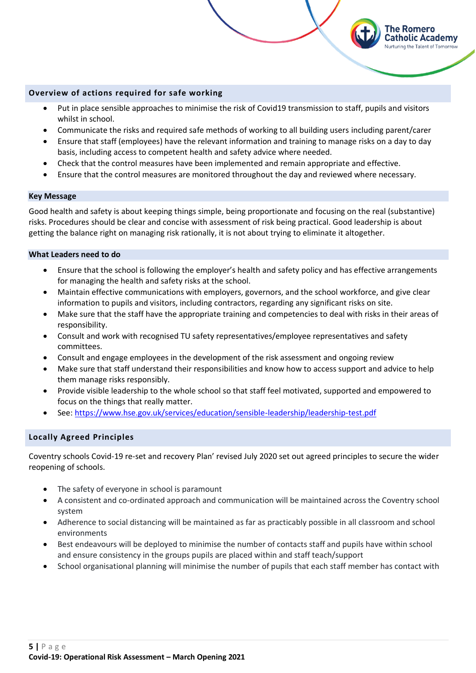#### <span id="page-4-0"></span>**Overview of actions required for safe working**

• Put in place sensible approaches to minimise the risk of Covid19 transmission to staff, pupils and visitors whilst in school.

The Romero Catholic Academy uring the Talent of Tomorrow

- Communicate the risks and required safe methods of working to all building users including parent/carer
- Ensure that staff (employees) have the relevant information and training to manage risks on a day to day basis, including access to competent health and safety advice where needed.
- Check that the control measures have been implemented and remain appropriate and effective.
- Ensure that the control measures are monitored throughout the day and reviewed where necessary.

#### **Key Message**

Good health and safety is about keeping things simple, being proportionate and focusing on the real (substantive) risks. Procedures should be clear and concise with assessment of risk being practical. Good leadership is about getting the balance right on managing risk rationally, it is not about trying to eliminate it altogether.

#### **What Leaders need to do**

- Ensure that the school is following the employer's health and safety policy and has effective arrangements for managing the health and safety risks at the school.
- Maintain effective communications with employers, governors, and the school workforce, and give clear information to pupils and visitors, including contractors, regarding any significant risks on site.
- Make sure that the staff have the appropriate training and competencies to deal with risks in their areas of responsibility.
- Consult and work with recognised TU safety representatives/employee representatives and safety committees.
- Consult and engage employees in the development of the risk assessment and ongoing review
- Make sure that staff understand their responsibilities and know how to access support and advice to help them manage risks responsibly.
- Provide visible leadership to the whole school so that staff feel motivated, supported and empowered to focus on the things that really matter.
- See:<https://www.hse.gov.uk/services/education/sensible-leadership/leadership-test.pdf>

## <span id="page-4-1"></span>**Locally Agreed Principles**

Coventry schools Covid-19 re-set and recovery Plan' revised July 2020 set out agreed principles to secure the wider reopening of schools.

- The safety of everyone in school is paramount
- A consistent and co-ordinated approach and communication will be maintained across the Coventry school system
- Adherence to social distancing will be maintained as far as practicably possible in all classroom and school environments
- Best endeavours will be deployed to minimise the number of contacts staff and pupils have within school and ensure consistency in the groups pupils are placed within and staff teach/support
- School organisational planning will minimise the number of pupils that each staff member has contact with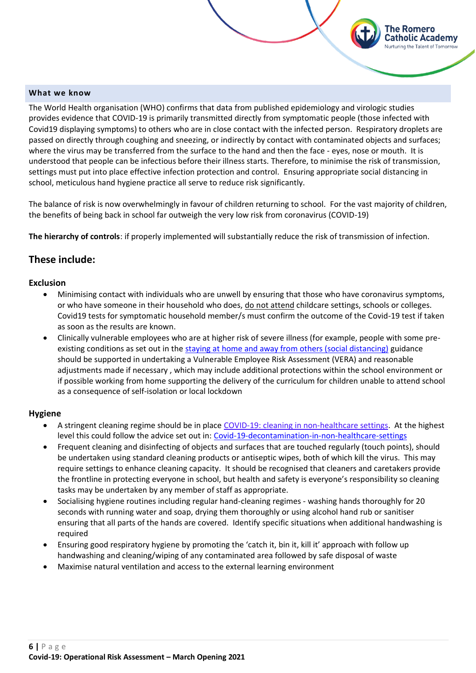#### <span id="page-5-0"></span>**What we know**

The World Health organisation (WHO) confirms that data from published epidemiology and virologic studies provides evidence that COVID-19 is primarily transmitted directly from symptomatic people (those infected with Covid19 displaying symptoms) to others who are in close contact with the infected person. Respiratory droplets are passed on directly through coughing and sneezing, or indirectly by contact with contaminated objects and surfaces; where the virus may be transferred from the surface to the hand and then the face - eyes, nose or mouth. It is understood that people can be infectious before their illness starts. Therefore, to minimise the risk of transmission, settings must put into place effective infection protection and control. Ensuring appropriate social distancing in school, meticulous hand hygiene practice all serve to reduce risk significantly.

The Romero Catholic Academy Nurturing the Talent of Tomorrow

The balance of risk is now overwhelmingly in favour of children returning to school. For the vast majority of children, the benefits of being back in school far outweigh the very low risk from coronavirus (COVID-19)

**The hierarchy of controls**: if properly implemented will substantially reduce the risk of transmission of infection.

# **These include:**

#### **Exclusion**

- Minimising contact with individuals who are unwell by ensuring that those who have coronavirus symptoms, or who have someone in their household who does, do not attend childcare settings, schools or colleges. Covid19 tests for symptomatic household member/s must confirm the outcome of the Covid-19 test if taken as soon as the results are known.
- Clinically vulnerable employees who are at higher risk of severe illness (for example, people with some preexisting conditions as set out in the [staying at home and away from others \(social distancing\)](https://www.gov.uk/government/publications/staying-alert-and-safe-social-distancing/staying-alert-and-safe-social-distancing#clinically-vulnerable-people) guidance should be supported in undertaking a Vulnerable Employee Risk Assessment (VERA) and reasonable adjustments made if necessary , which may include additional protections within the school environment or if possible working from home supporting the delivery of the curriculum for children unable to attend school as a consequence of self-isolation or local lockdown

## **Hygiene**

- A stringent cleaning regime should be in place [COVID-19: cleaning in non-healthcare settings.](https://www.gov.uk/government/publications/covid-19-decontamination-in-non-healthcare-settings) At the highest level this could follow the advice set out in: Covid-19-decontamination-in-non-healthcare-settings
- Frequent cleaning and disinfecting of objects and surfaces that are touched regularly (touch points), should be undertaken using standard cleaning products or antiseptic wipes, both of which kill the virus. This may require settings to enhance cleaning capacity. It should be recognised that cleaners and caretakers provide the frontline in protecting everyone in school, but health and safety is everyone's responsibility so cleaning tasks may be undertaken by any member of staff as appropriate.
- Socialising hygiene routines including regular hand-cleaning regimes washing hands thoroughly for 20 seconds with running water and soap, drying them thoroughly or using alcohol hand rub or sanitiser ensuring that all parts of the hands are covered. Identify specific situations when additional handwashing is required
- Ensuring good respiratory hygiene by promoting the 'catch it, bin it, kill it' approach with follow up handwashing and cleaning/wiping of any contaminated area followed by safe disposal of waste
- Maximise natural ventilation and access to the external learning environment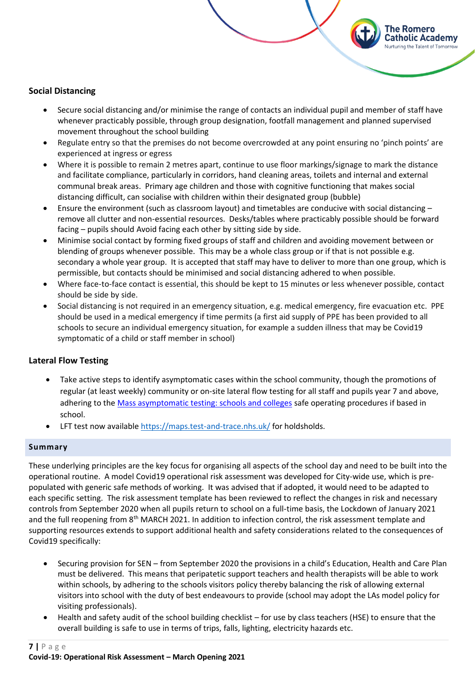#### **Social Distancing**

• Secure social distancing and/or minimise the range of contacts an individual pupil and member of staff have whenever practicably possible, through group designation, footfall management and planned supervised movement throughout the school building

The Romero Catholic Academy Nurturing the Talent of Tomorrow

- Regulate entry so that the premises do not become overcrowded at any point ensuring no 'pinch points' are experienced at ingress or egress
- Where it is possible to remain 2 metres apart, continue to use floor markings/signage to mark the distance and facilitate compliance, particularly in corridors, hand cleaning areas, toilets and internal and external communal break areas. Primary age children and those with cognitive functioning that makes social distancing difficult, can socialise with children within their designated group (bubble)
- Ensure the environment (such as classroom layout) and timetables are conducive with social distancing remove all clutter and non-essential resources. Desks/tables where practicably possible should be forward facing – pupils should Avoid facing each other by sitting side by side.
- Minimise social contact by forming fixed groups of staff and children and avoiding movement between or blending of groups whenever possible. This may be a whole class group or if that is not possible e.g. secondary a whole year group. It is accepted that staff may have to deliver to more than one group, which is permissible, but contacts should be minimised and social distancing adhered to when possible.
- Where face-to-face contact is essential, this should be kept to 15 minutes or less whenever possible, contact should be side by side.
- Social distancing is not required in an emergency situation, e.g. medical emergency, fire evacuation etc. PPE should be used in a medical emergency if time permits (a first aid supply of PPE has been provided to all schools to secure an individual emergency situation, for example a sudden illness that may be Covid19 symptomatic of a child or staff member in school)

## **Lateral Flow Testing**

- Take active steps to identify asymptomatic cases within the school community, though the promotions of regular (at least weekly) community or on-site lateral flow testing for all staff and pupils year 7 and above, adhering to the [Mass asymptomatic testing: schools and colleges](https://eur02.safelinks.protection.outlook.com/?url=https%3A%2F%2Fwww.gov.uk%2Fguidance%2Fasymptomatic-testing-in-schools-and-colleges%3Futm_medium%3Demail%26utm_campaign%3Dgovuk-notifications%26utm_source%3De4f98685-3c9d-4f66-be89-500f9ccef42c%26utm_content%3Dimmediate&data=04%7C01%7C%7Cafa5d2df0349405c405108d8b31b45af%7Ca8b4324f155c4215a0f17ed8cc9a992f%7C0%7C0%7C637456276997097635%7CUnknown%7CTWFpbGZsb3d8eyJWIjoiMC4wLjAwMDAiLCJQIjoiV2luMzIiLCJBTiI6Ik1haWwiLCJXVCI6Mn0%3D%7C1000&sdata=Q7uvUWBW51OeUwSND3z8KR3OMxR7y8jq6JOwKF5qGXs%3D&reserved=0) safe operating procedures if based in school.
- LFT test now available<https://maps.test-and-trace.nhs.uk/> for holdsholds.

#### <span id="page-6-0"></span>**Summary**

These underlying principles are the key focus for organising all aspects of the school day and need to be built into the operational routine. A model Covid19 operational risk assessment was developed for City-wide use, which is prepopulated with generic safe methods of working. It was advised that if adopted, it would need to be adapted to each specific setting. The risk assessment template has been reviewed to reflect the changes in risk and necessary controls from September 2020 when all pupils return to school on a full-time basis, the Lockdown of January 2021 and the full reopening from 8<sup>th</sup> MARCH 2021. In addition to infection control, the risk assessment template and supporting resources extends to support additional health and safety considerations related to the consequences of Covid19 specifically:

- Securing provision for SEN from September 2020 the provisions in a child's Education, Health and Care Plan must be delivered. This means that peripatetic support teachers and health therapists will be able to work within schools, by adhering to the schools visitors policy thereby balancing the risk of allowing external visitors into school with the duty of best endeavours to provide (school may adopt the LAs model policy for visiting professionals).
- Health and safety audit of the school building checklist for use by class teachers (HSE) to ensure that the overall building is safe to use in terms of trips, falls, lighting, electricity hazards etc.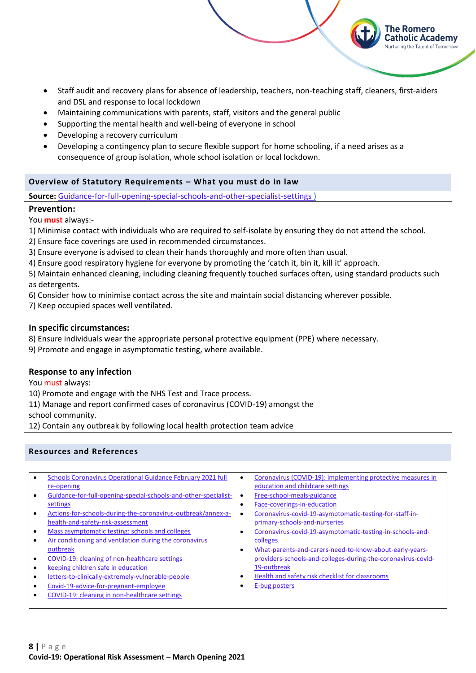• Staff audit and recovery plans for absence of leadership, teachers, non-teaching staff, cleaners, first-aiders and DSL and response to local lockdown

The Romero Catholic Academy turing the Talent of Tomorrow

- Maintaining communications with parents, staff, visitors and the general public
- Supporting the mental health and well-being of everyone in school
- Developing a recovery curriculum
- Developing a contingency plan to secure flexible support for home schooling, if a need arises as a consequence of group isolation, whole school isolation or local lockdown.

## <span id="page-7-0"></span>**Overview of Statutory Requirements – What you must do in law**

**Source:** [Guidance-for-full-opening-special-schools-and-other-specialist-settings](https://www.gov.uk/government/publications/guidance-for-full-opening-special-schools-and-other-specialist-settings) )

## **Prevention:**

You **must** always:-

- 1) Minimise contact with individuals who are required to self-isolate by ensuring they do not attend the school.
- 2) Ensure face coverings are used in recommended circumstances.
- 3) Ensure everyone is advised to clean their hands thoroughly and more often than usual.
- 4) Ensure good respiratory hygiene for everyone by promoting the 'catch it, bin it, kill it' approach.
- 5) Maintain enhanced cleaning, including cleaning frequently touched surfaces often, using standard products such as detergents.
- 6) Consider how to minimise contact across the site and maintain social distancing wherever possible.
- 7) Keep occupied spaces well ventilated.

## **In specific circumstances:**

- 8) Ensure individuals wear the appropriate personal protective equipment (PPE) where necessary.
- 9) Promote and engage in asymptomatic testing, where available.

## **Response to any infection**

You must always:

10) Promote and engage with the NHS Test and Trace process.

11) Manage and report confirmed cases of coronavirus (COVID-19) amongst the school community.

12) Contain any outbreak by following local health protection team advice

# <span id="page-7-1"></span>**Resources and References**

| $\bullet$ | Schools Coronavirus Operational Guidance February 2021 full<br>re-opening | $\bullet$ | Coronavirus (COVID-19): implementing protective measures in<br>education and childcare settings |
|-----------|---------------------------------------------------------------------------|-----------|-------------------------------------------------------------------------------------------------|
|           | Guidance-for-full-opening-special-schools-and-other-specialist-           | $\bullet$ | Free-school-meals-guidance                                                                      |
|           | settings                                                                  | ٠         | Face-coverings-in-education                                                                     |
|           | Actions-for-schools-during-the-coronavirus-outbreak/annex-a-              | ٠         | Coronavirus-covid-19-asymptomatic-testing-for-staff-in-                                         |
|           | health-and-safety-risk-assessment                                         |           | primary-schools-and-nurseries                                                                   |
|           | Mass asymptomatic testing: schools and colleges                           | ٠         | Coronavirus-covid-19-asymptomatic-testing-in-schools-and-                                       |
|           | Air conditioning and ventilation during the coronavirus                   |           | colleges                                                                                        |
|           | outbreak                                                                  | ٠         | What-parents-and-carers-need-to-know-about-early-years-                                         |
|           | COVID-19: cleaning of non-healthcare settings                             |           | providers-schools-and-colleges-during-the-coronavirus-covid-                                    |
|           | keeping children safe in education                                        |           | 19-outbreak                                                                                     |
|           | letters-to-clinically-extremely-vulnerable-people                         | ٠         | Health and safety risk checklist for classrooms                                                 |
|           | Covid-19-advice-for-pregnant-employee                                     |           | E-bug posters                                                                                   |
|           | COVID-19: cleaning in non-healthcare settings                             |           |                                                                                                 |
|           |                                                                           |           |                                                                                                 |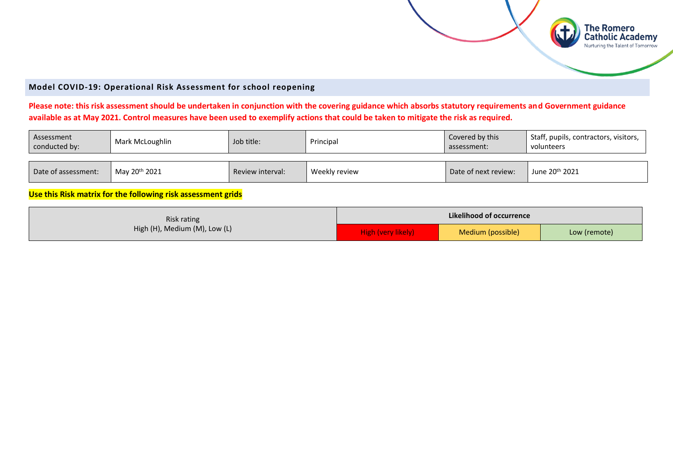

### **Model COVID-19: Operational Risk Assessment for school reopening**

# **Please note: this risk assessment should be undertaken in conjunction with the covering guidance which absorbs statutory requirements and Government guidance available as at May 2021. Control measures have been used to exemplify actions that could be taken to mitigate the risk as required.**

| Assessment<br>conducted by: | Mark McLoughlin           | Job title:       | Principal     | Covered by this<br>assessment: | Staff, pupils, contractors, visitors,<br>volunteers |
|-----------------------------|---------------------------|------------------|---------------|--------------------------------|-----------------------------------------------------|
| Date of assessment:         | Mav 20 <sup>th</sup> 2021 | Review interval: | Weekly review | Date of next review:           | June 20 <sup>th</sup> 2021                          |

**Use this Risk matrix for the following risk assessment grids**

<span id="page-8-0"></span>

| Risk rating<br>High (H), Medium (M), Low (L) | Likelihood of occurrence |                   |              |  |  |
|----------------------------------------------|--------------------------|-------------------|--------------|--|--|
|                                              | High (very likely)       | Medium (possible) | Low (remote) |  |  |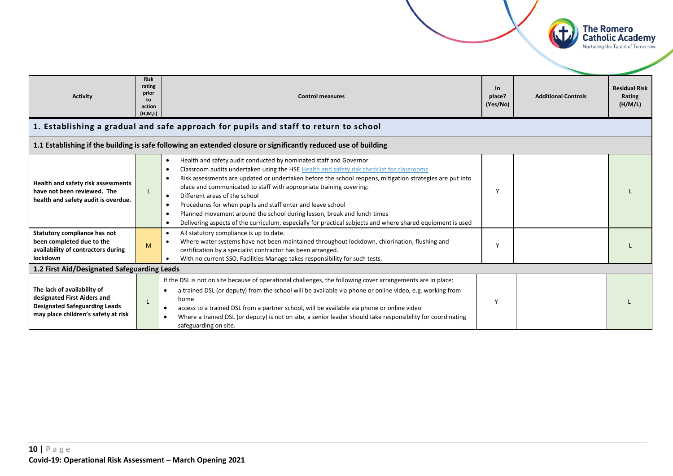<span id="page-9-0"></span>

The Romero **Catholic Academy** Nurturing the Talent of Tomorrow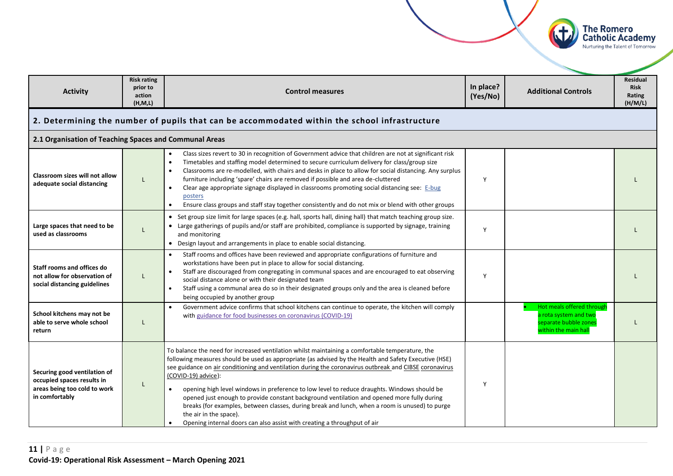<span id="page-10-0"></span>

| <b>Activity</b>                                                                                              | <b>Risk rating</b><br>prior to<br>action<br>(H, M, L) | <b>Control measures</b>                                                                                                                                                                                                                                                                                                                                                                                                                                                                                                                                                                                                                                                                                                                                     | In place?<br>(Yes/No) | <b>Additional Controls</b>                                                                          | <b>Residual</b><br><b>Risk</b><br>Rating<br>(H/M/L) |  |  |
|--------------------------------------------------------------------------------------------------------------|-------------------------------------------------------|-------------------------------------------------------------------------------------------------------------------------------------------------------------------------------------------------------------------------------------------------------------------------------------------------------------------------------------------------------------------------------------------------------------------------------------------------------------------------------------------------------------------------------------------------------------------------------------------------------------------------------------------------------------------------------------------------------------------------------------------------------------|-----------------------|-----------------------------------------------------------------------------------------------------|-----------------------------------------------------|--|--|
|                                                                                                              |                                                       | 2. Determining the number of pupils that can be accommodated within the school infrastructure                                                                                                                                                                                                                                                                                                                                                                                                                                                                                                                                                                                                                                                               |                       |                                                                                                     |                                                     |  |  |
| 2.1 Organisation of Teaching Spaces and Communal Areas                                                       |                                                       |                                                                                                                                                                                                                                                                                                                                                                                                                                                                                                                                                                                                                                                                                                                                                             |                       |                                                                                                     |                                                     |  |  |
| Classroom sizes will not allow<br>adequate social distancing                                                 | L                                                     | Class sizes revert to 30 in recognition of Government advice that children are not at significant risk<br>$\bullet$<br>Timetables and staffing model determined to secure curriculum delivery for class/group size<br>$\bullet$<br>Classrooms are re-modelled, with chairs and desks in place to allow for social distancing. Any surplus<br>furniture including 'spare' chairs are removed if possible and area de-cluttered<br>Clear age appropriate signage displayed in classrooms promoting social distancing see: E-bug<br>$\bullet$<br>posters<br>Ensure class groups and staff stay together consistently and do not mix or blend with other groups<br>$\bullet$                                                                                    | Y                     |                                                                                                     |                                                     |  |  |
| Large spaces that need to be<br>used as classrooms                                                           | $\mathsf{L}$                                          | • Set group size limit for large spaces (e.g. hall, sports hall, dining hall) that match teaching group size.<br>• Large gatherings of pupils and/or staff are prohibited, compliance is supported by signage, training<br>and monitoring<br>• Design layout and arrangements in place to enable social distancing.                                                                                                                                                                                                                                                                                                                                                                                                                                         | Y                     |                                                                                                     |                                                     |  |  |
| Staff rooms and offices do<br>not allow for observation of<br>social distancing guidelines                   | L                                                     | Staff rooms and offices have been reviewed and appropriate configurations of furniture and<br>workstations have been put in place to allow for social distancing.<br>Staff are discouraged from congregating in communal spaces and are encouraged to eat observing<br>social distance alone or with their designated team<br>Staff using a communal area do so in their designated groups only and the area is cleaned before<br>$\bullet$<br>being occupied by another group                                                                                                                                                                                                                                                                              | Y                     |                                                                                                     |                                                     |  |  |
| School kitchens may not be<br>able to serve whole school<br>return                                           | L                                                     | Government advice confirms that school kitchens can continue to operate, the kitchen will comply<br>$\bullet$<br>with guidance for food businesses on coronavirus (COVID-19)                                                                                                                                                                                                                                                                                                                                                                                                                                                                                                                                                                                |                       | Hot meals offered through<br>a rota system and two<br>separate bubble zones<br>within the main hall |                                                     |  |  |
| Securing good ventilation of<br>occupied spaces results in<br>areas being too cold to work<br>in comfortably | L                                                     | To balance the need for increased ventilation whilst maintaining a comfortable temperature, the<br>following measures should be used as appropriate (as advised by the Health and Safety Executive (HSE)<br>see guidance on air conditioning and ventilation during the coronavirus outbreak and CIBSE coronavirus<br>(COVID-19) advice):<br>opening high level windows in preference to low level to reduce draughts. Windows should be<br>$\bullet$<br>opened just enough to provide constant background ventilation and opened more fully during<br>breaks (for examples, between classes, during break and lunch, when a room is unused) to purge<br>the air in the space).<br>Opening internal doors can also assist with creating a throughput of air | Y                     |                                                                                                     |                                                     |  |  |

The Romero<br>Catholic Academy<br>Nurturing the Talent of Tomorrow

 $(d)$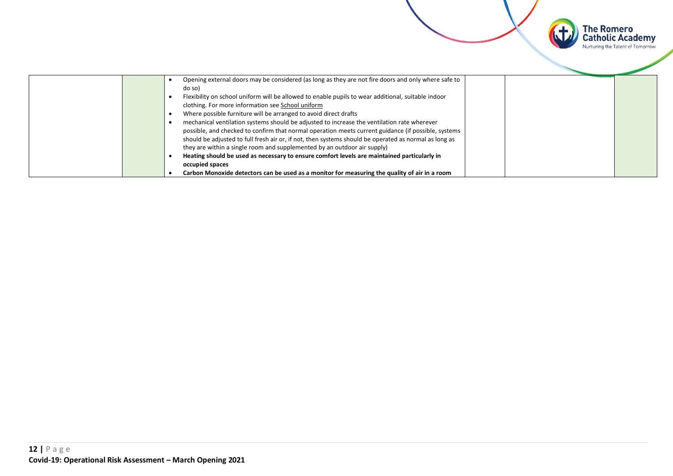

|  | Opening external doors may be considered (as long as they are not fire doors and only where safe to   |
|--|-------------------------------------------------------------------------------------------------------|
|  | do so)                                                                                                |
|  | Flexibility on school uniform will be allowed to enable pupils to wear additional, suitable indoor    |
|  | clothing. For more information see School uniform                                                     |
|  | Where possible furniture will be arranged to avoid direct drafts                                      |
|  | mechanical ventilation systems should be adjusted to increase the ventilation rate wherever           |
|  | possible, and checked to confirm that normal operation meets current guidance (if possible, systems   |
|  | should be adjusted to full fresh air or, if not, then systems should be operated as normal as long as |
|  | they are within a single room and supplemented by an outdoor air supply)                              |
|  | Heating should be used as necessary to ensure comfort levels are maintained particularly in           |
|  | occupied spaces                                                                                       |
|  | Carbon Monoxide detectors can be used as a monitor for measuring the quality of air in a room         |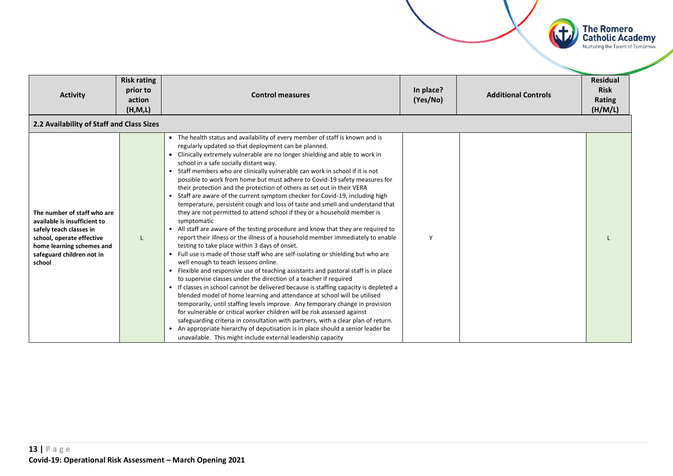

| <b>Activity</b>                                                                                                                                                                         | <b>Risk rating</b><br>prior to<br>action | <b>Control measures</b>                                                                                                                                                                                                                                                                                                                                                                                                                                                                                                                                                                                                                                                                                                                                                                                                                                                                                                                                                                                                                                                                                                                                                                                                                                                                                                                                                                                                                                                                                                                                                                                                                                                                                                                                                                                                                                 | In place?<br>(Yes/No) | <b>Additional Controls</b> | <b>Residual</b><br><b>Risk</b><br><b>Rating</b> |
|-----------------------------------------------------------------------------------------------------------------------------------------------------------------------------------------|------------------------------------------|---------------------------------------------------------------------------------------------------------------------------------------------------------------------------------------------------------------------------------------------------------------------------------------------------------------------------------------------------------------------------------------------------------------------------------------------------------------------------------------------------------------------------------------------------------------------------------------------------------------------------------------------------------------------------------------------------------------------------------------------------------------------------------------------------------------------------------------------------------------------------------------------------------------------------------------------------------------------------------------------------------------------------------------------------------------------------------------------------------------------------------------------------------------------------------------------------------------------------------------------------------------------------------------------------------------------------------------------------------------------------------------------------------------------------------------------------------------------------------------------------------------------------------------------------------------------------------------------------------------------------------------------------------------------------------------------------------------------------------------------------------------------------------------------------------------------------------------------------------|-----------------------|----------------------------|-------------------------------------------------|
|                                                                                                                                                                                         | (H, M, L)                                |                                                                                                                                                                                                                                                                                                                                                                                                                                                                                                                                                                                                                                                                                                                                                                                                                                                                                                                                                                                                                                                                                                                                                                                                                                                                                                                                                                                                                                                                                                                                                                                                                                                                                                                                                                                                                                                         |                       |                            | (H/M/L)                                         |
| 2.2 Availability of Staff and Class Sizes                                                                                                                                               |                                          |                                                                                                                                                                                                                                                                                                                                                                                                                                                                                                                                                                                                                                                                                                                                                                                                                                                                                                                                                                                                                                                                                                                                                                                                                                                                                                                                                                                                                                                                                                                                                                                                                                                                                                                                                                                                                                                         |                       |                            |                                                 |
| The number of staff who are<br>available is insufficient to<br>safely teach classes in<br>school, operate effective<br>home learning schemes and<br>safeguard children not in<br>school |                                          | • The health status and availability of every member of staff is known and is<br>regularly updated so that deployment can be planned.<br>Clinically extremely vulnerable are no longer shielding and able to work in<br>school in a safe socially distant way.<br>Staff members who are clinically vulnerable can work in school if it is not<br>possible to work from home but must adhere to Covid-19 safety measures for<br>their protection and the protection of others as set out in their VERA<br>Staff are aware of the current symptom checker for Covid-19, including high<br>temperature, persistent cough and loss of taste and smell and understand that<br>they are not permitted to attend school if they or a household member is<br>symptomatic<br>All staff are aware of the testing procedure and know that they are required to<br>report their illness or the illness of a household member immediately to enable<br>testing to take place within 3 days of onset.<br>• Full use is made of those staff who are self-isolating or shielding but who are<br>well enough to teach lessons online.<br>Flexible and responsive use of teaching assistants and pastoral staff is in place<br>to supervise classes under the direction of a teacher if required<br>• If classes in school cannot be delivered because is staffing capacity is depleted a<br>blended model of home learning and attendance at school will be utilised<br>temporarily, until staffing levels improve. Any temporary change in provision<br>for vulnerable or critical worker children will be risk assessed against<br>safeguarding criteria in consultation with partners, with a clear plan of return.<br>An appropriate hierarchy of deputisation is in place should a senior leader be<br>unavailable. This might include external leadership capacity | Y                     |                            |                                                 |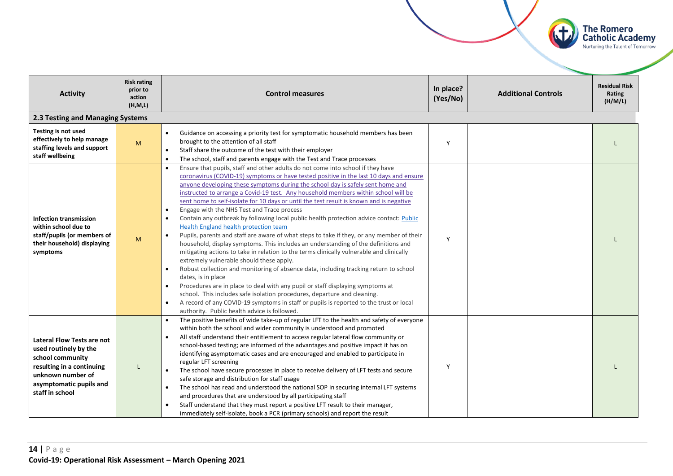

| <b>Activity</b>                                                                                                                                                         | <b>Risk rating</b><br>prior to<br>action<br>(H, M, L) | <b>Control measures</b>                                                                                                                                                                                                                                                                                                                                                                                                                                                                                                                                                                                                                                                                                                                                                                                                                                                                                                                                                                                                                                                                                                                                                                                                                                                                                                                                                                                                 | In place?<br>(Yes/No) | <b>Additional Controls</b> | <b>Residual Risk</b><br>Rating<br>(H/M/L) |  |  |  |
|-------------------------------------------------------------------------------------------------------------------------------------------------------------------------|-------------------------------------------------------|-------------------------------------------------------------------------------------------------------------------------------------------------------------------------------------------------------------------------------------------------------------------------------------------------------------------------------------------------------------------------------------------------------------------------------------------------------------------------------------------------------------------------------------------------------------------------------------------------------------------------------------------------------------------------------------------------------------------------------------------------------------------------------------------------------------------------------------------------------------------------------------------------------------------------------------------------------------------------------------------------------------------------------------------------------------------------------------------------------------------------------------------------------------------------------------------------------------------------------------------------------------------------------------------------------------------------------------------------------------------------------------------------------------------------|-----------------------|----------------------------|-------------------------------------------|--|--|--|
| 2.3 Testing and Managing Systems                                                                                                                                        |                                                       |                                                                                                                                                                                                                                                                                                                                                                                                                                                                                                                                                                                                                                                                                                                                                                                                                                                                                                                                                                                                                                                                                                                                                                                                                                                                                                                                                                                                                         |                       |                            |                                           |  |  |  |
| Testing is not used<br>effectively to help manage<br>staffing levels and support<br>staff wellbeing                                                                     | M                                                     | Guidance on accessing a priority test for symptomatic household members has been<br>$\bullet$<br>brought to the attention of all staff<br>Staff share the outcome of the test with their employer<br>The school, staff and parents engage with the Test and Trace processes<br>$\bullet$                                                                                                                                                                                                                                                                                                                                                                                                                                                                                                                                                                                                                                                                                                                                                                                                                                                                                                                                                                                                                                                                                                                                | Y                     |                            |                                           |  |  |  |
| <b>Infection transmission</b><br>within school due to<br>staff/pupils (or members of<br>their household) displaying<br>symptoms                                         | M                                                     | Ensure that pupils, staff and other adults do not come into school if they have<br>coronavirus (COVID-19) symptoms or have tested positive in the last 10 days and ensure<br>anyone developing these symptoms during the school day is safely sent home and<br>instructed to arrange a Covid-19 test. Any household members within school will be<br>sent home to self-isolate for 10 days or until the test result is known and is negative<br>Engage with the NHS Test and Trace process<br>$\bullet$<br>Contain any outbreak by following local public health protection advice contact: Public<br>Health England health protection team<br>Pupils, parents and staff are aware of what steps to take if they, or any member of their<br>$\bullet$<br>household, display symptoms. This includes an understanding of the definitions and<br>mitigating actions to take in relation to the terms clinically vulnerable and clinically<br>extremely vulnerable should these apply.<br>Robust collection and monitoring of absence data, including tracking return to school<br>dates, is in place<br>Procedures are in place to deal with any pupil or staff displaying symptoms at<br>school. This includes safe isolation procedures, departure and cleaning.<br>A record of any COVID-19 symptoms in staff or pupils is reported to the trust or local<br>$\bullet$<br>authority. Public health advice is followed. | Y                     |                            |                                           |  |  |  |
| Lateral Flow Tests are not<br>used routinely by the<br>school community<br>resulting in a continuing<br>unknown number of<br>asymptomatic pupils and<br>staff in school | L                                                     | The positive benefits of wide take-up of regular LFT to the health and safety of everyone<br>within both the school and wider community is understood and promoted<br>All staff understand their entitlement to access regular lateral flow community or<br>school-based testing; are informed of the advantages and positive impact it has on<br>identifying asymptomatic cases and are encouraged and enabled to participate in<br>regular LFT screening<br>The school have secure processes in place to receive delivery of LFT tests and secure<br>safe storage and distribution for staff usage<br>The school has read and understood the national SOP in securing internal LFT systems<br>and procedures that are understood by all participating staff<br>Staff understand that they must report a positive LFT result to their manager,<br>immediately self-isolate, book a PCR (primary schools) and report the result                                                                                                                                                                                                                                                                                                                                                                                                                                                                                         | Y                     |                            |                                           |  |  |  |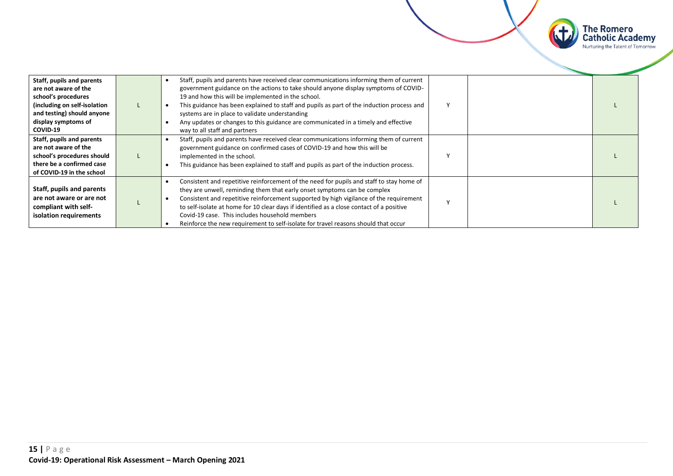

| Staff, pupils and parents<br>are not aware of the<br>school's procedures<br>(including on self-isolation<br>and testing) should anyone<br>display symptoms of<br>COVID-19 | Staff, pupils and parents have received clear communications informing them of current<br>government guidance on the actions to take should anyone display symptoms of COVID-<br>19 and how this will be implemented in the school.<br>This guidance has been explained to staff and pupils as part of the induction process and<br>systems are in place to validate understanding<br>Any updates or changes to this guidance are communicated in a timely and effective<br>way to all staff and partners |  |  |
|---------------------------------------------------------------------------------------------------------------------------------------------------------------------------|-----------------------------------------------------------------------------------------------------------------------------------------------------------------------------------------------------------------------------------------------------------------------------------------------------------------------------------------------------------------------------------------------------------------------------------------------------------------------------------------------------------|--|--|
| Staff, pupils and parents<br>are not aware of the<br>school's procedures should<br>there be a confirmed case<br>of COVID-19 in the school                                 | Staff, pupils and parents have received clear communications informing them of current<br>government guidance on confirmed cases of COVID-19 and how this will be<br>implemented in the school.<br>This guidance has been explained to staff and pupils as part of the induction process.                                                                                                                                                                                                                 |  |  |
| Staff, pupils and parents<br>are not aware or are not<br>compliant with self-<br>isolation requirements                                                                   | Consistent and repetitive reinforcement of the need for pupils and staff to stay home of<br>they are unwell, reminding them that early onset symptoms can be complex<br>Consistent and repetitive reinforcement supported by high vigilance of the requirement<br>to self-isolate at home for 10 clear days if identified as a close contact of a positive<br>Covid-19 case. This includes household members<br>Reinforce the new requirement to self-isolate for travel reasons should that occur        |  |  |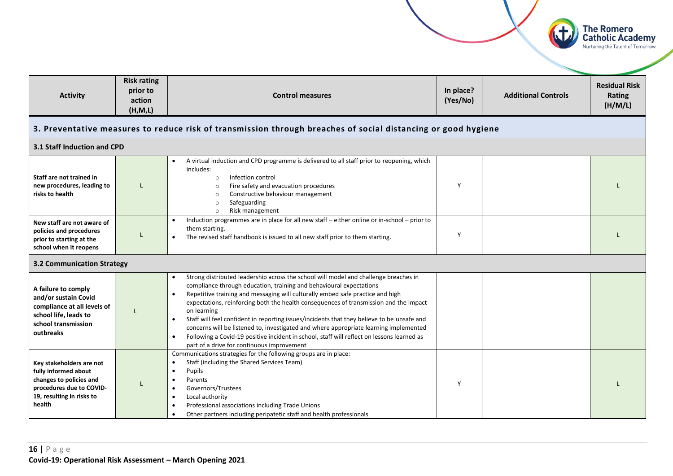<span id="page-15-0"></span>

| <b>Activity</b>                                                                                                                                | <b>Risk rating</b><br>prior to<br>action<br>(H, M, L)                                                         | <b>Control measures</b>                                                                                                                                                                                                                                                                                                                                                                                                                                                                                                                                                                                                                                                                                            | In place?<br>(Yes/No) | <b>Additional Controls</b> | <b>Residual Risk</b><br>Rating<br>(H/M/L) |  |  |  |  |
|------------------------------------------------------------------------------------------------------------------------------------------------|---------------------------------------------------------------------------------------------------------------|--------------------------------------------------------------------------------------------------------------------------------------------------------------------------------------------------------------------------------------------------------------------------------------------------------------------------------------------------------------------------------------------------------------------------------------------------------------------------------------------------------------------------------------------------------------------------------------------------------------------------------------------------------------------------------------------------------------------|-----------------------|----------------------------|-------------------------------------------|--|--|--|--|
|                                                                                                                                                | 3. Preventative measures to reduce risk of transmission through breaches of social distancing or good hygiene |                                                                                                                                                                                                                                                                                                                                                                                                                                                                                                                                                                                                                                                                                                                    |                       |                            |                                           |  |  |  |  |
| 3.1 Staff Induction and CPD                                                                                                                    |                                                                                                               |                                                                                                                                                                                                                                                                                                                                                                                                                                                                                                                                                                                                                                                                                                                    |                       |                            |                                           |  |  |  |  |
| Staff are not trained in<br>new procedures, leading to<br>risks to health                                                                      |                                                                                                               | A virtual induction and CPD programme is delivered to all staff prior to reopening, which<br>includes:<br>Infection control<br>$\circ$<br>Fire safety and evacuation procedures<br>$\circ$<br>Constructive behaviour management<br>$\circ$<br>Safeguarding<br>$\circ$<br>Risk management<br>$\circ$                                                                                                                                                                                                                                                                                                                                                                                                                | Y                     |                            |                                           |  |  |  |  |
| New staff are not aware of<br>policies and procedures<br>prior to starting at the<br>school when it reopens                                    | L                                                                                                             | Induction programmes are in place for all new staff - either online or in-school - prior to<br>them starting.<br>The revised staff handbook is issued to all new staff prior to them starting.                                                                                                                                                                                                                                                                                                                                                                                                                                                                                                                     | Y                     |                            |                                           |  |  |  |  |
| <b>3.2 Communication Strategy</b>                                                                                                              |                                                                                                               |                                                                                                                                                                                                                                                                                                                                                                                                                                                                                                                                                                                                                                                                                                                    |                       |                            |                                           |  |  |  |  |
| A failure to comply<br>and/or sustain Covid<br>compliance at all levels of<br>school life, leads to<br>school transmission<br>outbreaks        |                                                                                                               | Strong distributed leadership across the school will model and challenge breaches in<br>compliance through education, training and behavioural expectations<br>Repetitive training and messaging will culturally embed safe practice and high<br>$\bullet$<br>expectations, reinforcing both the health consequences of transmission and the impact<br>on learning<br>Staff will feel confident in reporting issues/incidents that they believe to be unsafe and<br>concerns will be listened to, investigated and where appropriate learning implemented<br>Following a Covid-19 positive incident in school, staff will reflect on lessons learned as<br>$\bullet$<br>part of a drive for continuous improvement |                       |                            |                                           |  |  |  |  |
| Key stakeholders are not<br>fully informed about<br>changes to policies and<br>procedures due to COVID-<br>19, resulting in risks to<br>health |                                                                                                               | Communications strategies for the following groups are in place:<br>Staff (including the Shared Services Team)<br>$\bullet$<br>Pupils<br>$\bullet$<br>Parents<br>$\bullet$<br>Governors/Trustees<br>$\bullet$<br>Local authority<br>$\bullet$<br>Professional associations including Trade Unions<br>$\bullet$<br>Other partners including peripatetic staff and health professionals<br>$\bullet$                                                                                                                                                                                                                                                                                                                 | Y                     |                            |                                           |  |  |  |  |

**The Romero<br>Catholic Academy**<br>Nurturing the Talent of Tomorrow

 $\left( 1\right)$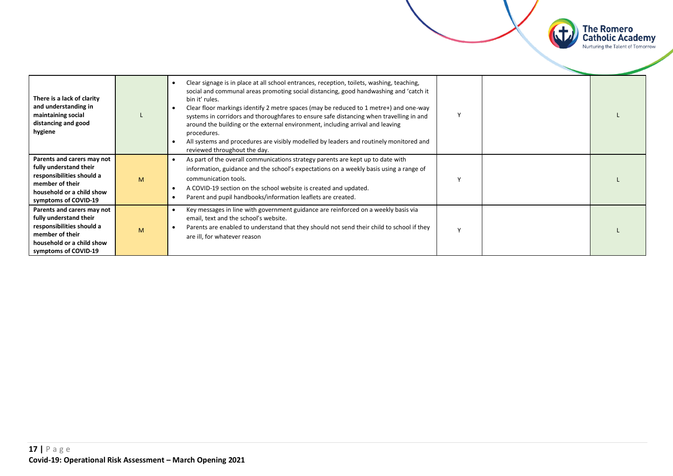

| There is a lack of clarity<br>and understanding in<br>maintaining social<br>distancing and good<br>hygiene                                                |   | Clear signage is in place at all school entrances, reception, toilets, washing, teaching,<br>social and communal areas promoting social distancing, good handwashing and 'catch it<br>bin it' rules.<br>Clear floor markings identify 2 metre spaces (may be reduced to 1 metre+) and one-way<br>systems in corridors and thoroughfares to ensure safe distancing when travelling in and<br>around the building or the external environment, including arrival and leaving<br>procedures.<br>All systems and procedures are visibly modelled by leaders and routinely monitored and<br>reviewed throughout the day. |  |  |
|-----------------------------------------------------------------------------------------------------------------------------------------------------------|---|---------------------------------------------------------------------------------------------------------------------------------------------------------------------------------------------------------------------------------------------------------------------------------------------------------------------------------------------------------------------------------------------------------------------------------------------------------------------------------------------------------------------------------------------------------------------------------------------------------------------|--|--|
| Parents and carers may not<br>fully understand their<br>responsibilities should a<br>member of their<br>household or a child show<br>symptoms of COVID-19 | M | As part of the overall communications strategy parents are kept up to date with<br>information, guidance and the school's expectations on a weekly basis using a range of<br>communication tools.<br>A COVID-19 section on the school website is created and updated.<br>Parent and pupil handbooks/information leaflets are created.                                                                                                                                                                                                                                                                               |  |  |
| Parents and carers may not<br>fully understand their<br>responsibilities should a<br>member of their<br>household or a child show<br>symptoms of COVID-19 | M | Key messages in line with government guidance are reinforced on a weekly basis via<br>email, text and the school's website.<br>Parents are enabled to understand that they should not send their child to school if they<br>are ill, for whatever reason                                                                                                                                                                                                                                                                                                                                                            |  |  |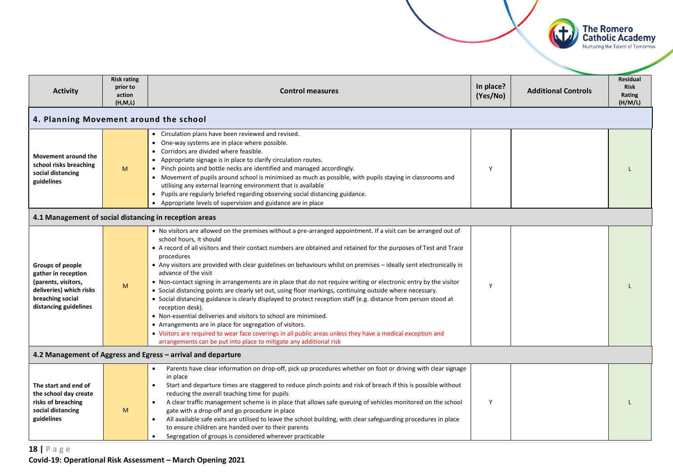

<span id="page-17-0"></span>

| <b>Activity</b>                                                                                                                        | <b>Risk rating</b><br>prior to<br>action<br>(H, M, L) | <b>Control measures</b>                                                                                                                                                                                                                                                                                                                                                                                                                                                                                                                                                                                                                                                                                                                                                                                                                                                                                                                                                                                                                                                                                                     | In place?<br>(Yes/No) | <b>Additional Controls</b> | <b>Residual</b><br><b>Risk</b><br>Rating<br>(H/M/L) |  |  |  |
|----------------------------------------------------------------------------------------------------------------------------------------|-------------------------------------------------------|-----------------------------------------------------------------------------------------------------------------------------------------------------------------------------------------------------------------------------------------------------------------------------------------------------------------------------------------------------------------------------------------------------------------------------------------------------------------------------------------------------------------------------------------------------------------------------------------------------------------------------------------------------------------------------------------------------------------------------------------------------------------------------------------------------------------------------------------------------------------------------------------------------------------------------------------------------------------------------------------------------------------------------------------------------------------------------------------------------------------------------|-----------------------|----------------------------|-----------------------------------------------------|--|--|--|
|                                                                                                                                        | 4. Planning Movement around the school                |                                                                                                                                                                                                                                                                                                                                                                                                                                                                                                                                                                                                                                                                                                                                                                                                                                                                                                                                                                                                                                                                                                                             |                       |                            |                                                     |  |  |  |
| Movement around the<br>school risks breaching<br>social distancing<br>guidelines                                                       | M                                                     | • Circulation plans have been reviewed and revised.<br>• One-way systems are in place where possible.<br>Corridors are divided where feasible.<br>• Appropriate signage is in place to clarify circulation routes.<br>• Pinch points and bottle necks are identified and managed accordingly.<br>• Movement of pupils around school is minimised as much as possible, with pupils staying in classrooms and<br>utilising any external learning environment that is available<br>• Pupils are regularly briefed regarding observing social distancing guidance.<br>• Appropriate levels of supervision and guidance are in place                                                                                                                                                                                                                                                                                                                                                                                                                                                                                             | Y                     |                            |                                                     |  |  |  |
| 4.1 Management of social distancing in reception areas                                                                                 |                                                       |                                                                                                                                                                                                                                                                                                                                                                                                                                                                                                                                                                                                                                                                                                                                                                                                                                                                                                                                                                                                                                                                                                                             |                       |                            |                                                     |  |  |  |
| Groups of people<br>gather in reception<br>(parents, visitors,<br>deliveries) which risks<br>breaching social<br>distancing guidelines | M                                                     | • No visitors are allowed on the premises without a pre-arranged appointment. If a visit can be arranged out of<br>school hours, it should<br>• A record of all visitors and their contact numbers are obtained and retained for the purposes of Test and Trace<br>procedures<br>• Any visitors are provided with clear guidelines on behaviours whilst on premises - ideally sent electronically in<br>advance of the visit<br>• Non-contact signing in arrangements are in place that do not require writing or electronic entry by the visitor<br>• Social distancing points are clearly set out, using floor markings, continuing outside where necessary.<br>• Social distancing guidance is clearly displayed to protect reception staff (e.g. distance from person stood at<br>reception desk).<br>• Non-essential deliveries and visitors to school are minimised.<br>• Arrangements are in place for segregation of visitors.<br>• Visitors are required to wear face coverings in all public areas unless they have a medical exception and<br>arrangements can be put into place to mitigate any additional risk | Y                     |                            |                                                     |  |  |  |
| 4.2 Management of Aggress and Egress - arrival and departure                                                                           |                                                       |                                                                                                                                                                                                                                                                                                                                                                                                                                                                                                                                                                                                                                                                                                                                                                                                                                                                                                                                                                                                                                                                                                                             |                       |                            |                                                     |  |  |  |
| The start and end of<br>the school day create<br>risks of breaching<br>social distancing<br>guidelines                                 | M                                                     | Parents have clear information on drop-off, pick up procedures whether on foot or driving with clear signage<br>$\bullet$<br>in place<br>Start and departure times are staggered to reduce pinch points and risk of breach if this is possible without<br>reducing the overall teaching time for pupils<br>A clear traffic management scheme is in place that allows safe queuing of vehicles monitored on the school<br>$\bullet$<br>gate with a drop-off and go procedure in place<br>All available safe exits are utilised to leave the school building, with clear safeguarding procedures in place<br>to ensure children are handed over to their parents<br>Segregation of groups is considered wherever practicable                                                                                                                                                                                                                                                                                                                                                                                                  | Y                     |                            |                                                     |  |  |  |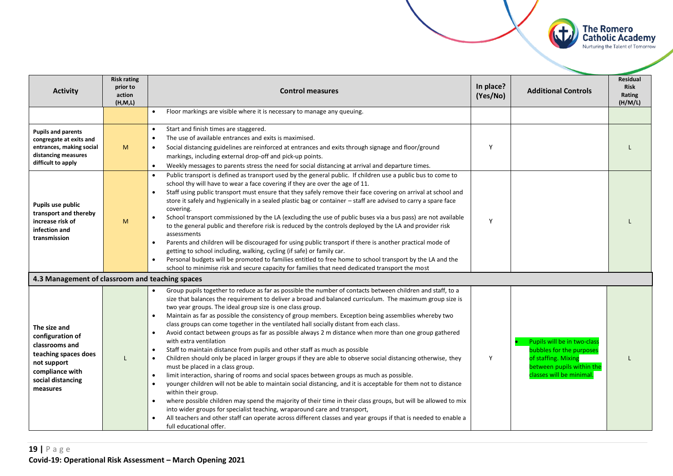

| <b>Activity</b>                                                                                                                               | <b>Risk rating</b><br>prior to<br>action<br>(H, M, L) | <b>Control measures</b>                                                                                                                                                                                                                                                                                                                                                                                                                                                                                                                                                                                                                                                                                                                                                                                                                                                                                                                                                                                                                                                                                                                                                                                                                                                                                                                                                                                                                                                                                                       | In place?<br>(Yes/No) | <b>Additional Controls</b>                                                                                                              | <b>Residual</b><br><b>Risk</b><br>Rating<br>(H/M/L) |
|-----------------------------------------------------------------------------------------------------------------------------------------------|-------------------------------------------------------|-------------------------------------------------------------------------------------------------------------------------------------------------------------------------------------------------------------------------------------------------------------------------------------------------------------------------------------------------------------------------------------------------------------------------------------------------------------------------------------------------------------------------------------------------------------------------------------------------------------------------------------------------------------------------------------------------------------------------------------------------------------------------------------------------------------------------------------------------------------------------------------------------------------------------------------------------------------------------------------------------------------------------------------------------------------------------------------------------------------------------------------------------------------------------------------------------------------------------------------------------------------------------------------------------------------------------------------------------------------------------------------------------------------------------------------------------------------------------------------------------------------------------------|-----------------------|-----------------------------------------------------------------------------------------------------------------------------------------|-----------------------------------------------------|
|                                                                                                                                               |                                                       | Floor markings are visible where it is necessary to manage any queuing.                                                                                                                                                                                                                                                                                                                                                                                                                                                                                                                                                                                                                                                                                                                                                                                                                                                                                                                                                                                                                                                                                                                                                                                                                                                                                                                                                                                                                                                       |                       |                                                                                                                                         |                                                     |
| <b>Pupils and parents</b><br>congregate at exits and<br>entrances, making social<br>distancing measures<br>difficult to apply                 | M                                                     | Start and finish times are staggered.<br>The use of available entrances and exits is maximised.<br>Social distancing guidelines are reinforced at entrances and exits through signage and floor/ground<br>markings, including external drop-off and pick-up points.<br>Weekly messages to parents stress the need for social distancing at arrival and departure times.                                                                                                                                                                                                                                                                                                                                                                                                                                                                                                                                                                                                                                                                                                                                                                                                                                                                                                                                                                                                                                                                                                                                                       | Υ                     |                                                                                                                                         |                                                     |
| Pupils use public<br>transport and thereby<br>increase risk of<br>infection and<br>transmission                                               | M                                                     | Public transport is defined as transport used by the general public. If children use a public bus to come to<br>school thy will have to wear a face covering if they are over the age of 11.<br>Staff using public transport must ensure that they safely remove their face covering on arrival at school and<br>store it safely and hygienically in a sealed plastic bag or container - staff are advised to carry a spare face<br>covering.<br>School transport commissioned by the LA (excluding the use of public buses via a bus pass) are not available<br>to the general public and therefore risk is reduced by the controls deployed by the LA and provider risk<br>assessments<br>Parents and children will be discouraged for using public transport if there is another practical mode of<br>getting to school including, walking, cycling (if safe) or family car.<br>Personal budgets will be promoted to families entitled to free home to school transport by the LA and the<br>school to minimise risk and secure capacity for families that need dedicated transport the most                                                                                                                                                                                                                                                                                                                                                                                                                               | Y                     |                                                                                                                                         |                                                     |
| 4.3 Management of classroom and teaching spaces                                                                                               |                                                       |                                                                                                                                                                                                                                                                                                                                                                                                                                                                                                                                                                                                                                                                                                                                                                                                                                                                                                                                                                                                                                                                                                                                                                                                                                                                                                                                                                                                                                                                                                                               |                       |                                                                                                                                         |                                                     |
| The size and<br>configuration of<br>classrooms and<br>teaching spaces does<br>not support<br>compliance with<br>social distancing<br>measures |                                                       | Group pupils together to reduce as far as possible the number of contacts between children and staff, to a<br>size that balances the requirement to deliver a broad and balanced curriculum. The maximum group size is<br>two year groups. The ideal group size is one class group.<br>Maintain as far as possible the consistency of group members. Exception being assemblies whereby two<br>$\bullet$<br>class groups can come together in the ventilated hall socially distant from each class.<br>Avoid contact between groups as far as possible always 2 m distance when more than one group gathered<br>$\bullet$<br>with extra ventilation<br>Staff to maintain distance from pupils and other staff as much as possible<br>Children should only be placed in larger groups if they are able to observe social distancing otherwise, they<br>$\bullet$<br>must be placed in a class group.<br>limit interaction, sharing of rooms and social spaces between groups as much as possible.<br>$\bullet$<br>younger children will not be able to maintain social distancing, and it is acceptable for them not to distance<br>$\bullet$<br>within their group.<br>where possible children may spend the majority of their time in their class groups, but will be allowed to mix<br>$\bullet$<br>into wider groups for specialist teaching, wraparound care and transport,<br>All teachers and other staff can operate across different classes and year groups if that is needed to enable a<br>full educational offer. | Υ                     | Pupils will be in two-class<br>bubbles for the purposes<br>of staffing. Mixing<br>between pupils within the<br>classes will be minimal. |                                                     |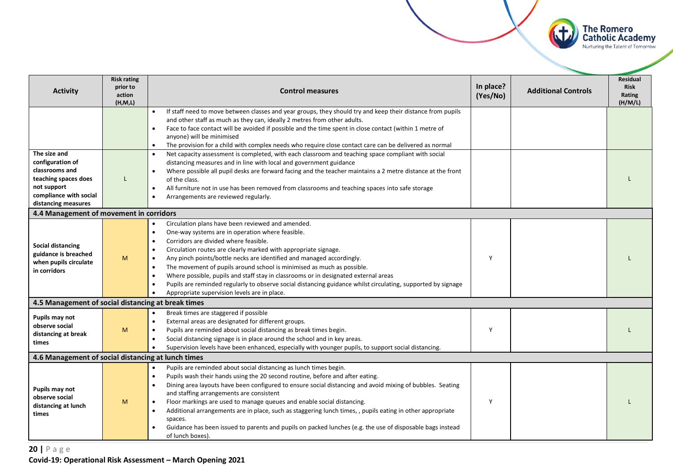

| <b>Activity</b>                                                                                                                            | <b>Risk rating</b><br>prior to                                                                                                                                                                                                                                                                                                                                                        | <b>Control measures</b>                                                                                                                                                                                                                                                                                                                                                                                                                                                                                                                                                                                                                                                                | In place? | <b>Additional Controls</b> | <b>Residual</b><br><b>Risk</b> |
|--------------------------------------------------------------------------------------------------------------------------------------------|---------------------------------------------------------------------------------------------------------------------------------------------------------------------------------------------------------------------------------------------------------------------------------------------------------------------------------------------------------------------------------------|----------------------------------------------------------------------------------------------------------------------------------------------------------------------------------------------------------------------------------------------------------------------------------------------------------------------------------------------------------------------------------------------------------------------------------------------------------------------------------------------------------------------------------------------------------------------------------------------------------------------------------------------------------------------------------------|-----------|----------------------------|--------------------------------|
|                                                                                                                                            | action<br>(H, M, L)                                                                                                                                                                                                                                                                                                                                                                   |                                                                                                                                                                                                                                                                                                                                                                                                                                                                                                                                                                                                                                                                                        | (Yes/No)  |                            | Rating<br>(H/M/L)              |
|                                                                                                                                            |                                                                                                                                                                                                                                                                                                                                                                                       | If staff need to move between classes and year groups, they should try and keep their distance from pupils<br>and other staff as much as they can, ideally 2 metres from other adults.<br>Face to face contact will be avoided if possible and the time spent in close contact (within 1 metre of<br>anyone) will be minimised<br>The provision for a child with complex needs who require close contact care can be delivered as normal<br>$\bullet$                                                                                                                                                                                                                                  |           |                            |                                |
| The size and<br>configuration of<br>classrooms and<br>teaching spaces does<br>not support<br>compliance with social<br>distancing measures | L                                                                                                                                                                                                                                                                                                                                                                                     | Net capacity assessment is completed, with each classroom and teaching space compliant with social<br>distancing measures and in line with local and government guidance<br>Where possible all pupil desks are forward facing and the teacher maintains a 2 metre distance at the front<br>of the class.<br>All furniture not in use has been removed from classrooms and teaching spaces into safe storage<br>$\bullet$<br>Arrangements are reviewed regularly.                                                                                                                                                                                                                       |           |                            |                                |
| 4.4 Management of movement in corridors                                                                                                    |                                                                                                                                                                                                                                                                                                                                                                                       |                                                                                                                                                                                                                                                                                                                                                                                                                                                                                                                                                                                                                                                                                        |           |                            |                                |
| <b>Social distancing</b><br>guidance is breached<br>when pupils circulate<br>in corridors                                                  | M                                                                                                                                                                                                                                                                                                                                                                                     | Circulation plans have been reviewed and amended.<br>One-way systems are in operation where feasible.<br>$\bullet$<br>Corridors are divided where feasible.<br>Circulation routes are clearly marked with appropriate signage.<br>$\bullet$<br>Any pinch points/bottle necks are identified and managed accordingly.<br>$\bullet$<br>The movement of pupils around school is minimised as much as possible.<br>$\bullet$<br>Where possible, pupils and staff stay in classrooms or in designated external areas<br>Pupils are reminded regularly to observe social distancing guidance whilst circulating, supported by signage<br>Appropriate supervision levels are in place.        | Y         |                            |                                |
| 4.5 Management of social distancing at break times                                                                                         |                                                                                                                                                                                                                                                                                                                                                                                       |                                                                                                                                                                                                                                                                                                                                                                                                                                                                                                                                                                                                                                                                                        |           |                            |                                |
| Pupils may not<br>observe social<br>distancing at break<br>times                                                                           | Break times are staggered if possible<br>External areas are designated for different groups.<br>$\bullet$<br>Pupils are reminded about social distancing as break times begin.<br>M<br>$\bullet$<br>Social distancing signage is in place around the school and in key areas.<br>Supervision levels have been enhanced, especially with younger pupils, to support social distancing. |                                                                                                                                                                                                                                                                                                                                                                                                                                                                                                                                                                                                                                                                                        | Y         |                            |                                |
| 4.6 Management of social distancing at lunch times                                                                                         |                                                                                                                                                                                                                                                                                                                                                                                       |                                                                                                                                                                                                                                                                                                                                                                                                                                                                                                                                                                                                                                                                                        |           |                            |                                |
| Pupils may not<br>observe social<br>distancing at lunch<br>times                                                                           | M                                                                                                                                                                                                                                                                                                                                                                                     | Pupils are reminded about social distancing as lunch times begin.<br>Pupils wash their hands using the 20 second routine, before and after eating.<br>$\bullet$<br>Dining area layouts have been configured to ensure social distancing and avoid mixing of bubbles. Seating<br>and staffing arrangements are consistent<br>Floor markings are used to manage queues and enable social distancing.<br>$\bullet$<br>Additional arrangements are in place, such as staggering lunch times, , pupils eating in other appropriate<br>$\bullet$<br>spaces.<br>Guidance has been issued to parents and pupils on packed lunches (e.g. the use of disposable bags instead<br>of lunch boxes). | Y         |                            |                                |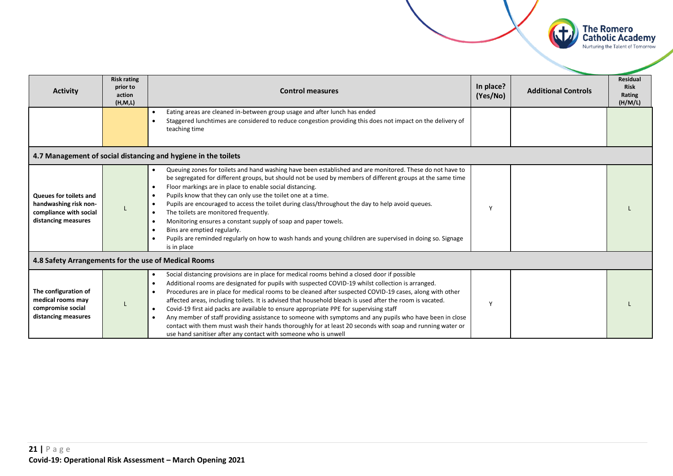

| <b>Activity</b>                                                                                  | <b>Risk rating</b><br>prior to<br>action<br>(H, M, L) | <b>Control measures</b>                                                                                                                                                                                                                                                                                                                                                                                                                                                                                                                                                                                                                                                                                                                                                                                                      | In place?<br>(Yes/No) | <b>Additional Controls</b> | <b>Residual</b><br><b>Risk</b><br>Rating<br>(H/M/L) |
|--------------------------------------------------------------------------------------------------|-------------------------------------------------------|------------------------------------------------------------------------------------------------------------------------------------------------------------------------------------------------------------------------------------------------------------------------------------------------------------------------------------------------------------------------------------------------------------------------------------------------------------------------------------------------------------------------------------------------------------------------------------------------------------------------------------------------------------------------------------------------------------------------------------------------------------------------------------------------------------------------------|-----------------------|----------------------------|-----------------------------------------------------|
|                                                                                                  |                                                       | Eating areas are cleaned in-between group usage and after lunch has ended<br>Staggered lunchtimes are considered to reduce congestion providing this does not impact on the delivery of<br>teaching time                                                                                                                                                                                                                                                                                                                                                                                                                                                                                                                                                                                                                     |                       |                            |                                                     |
|                                                                                                  |                                                       | 4.7 Management of social distancing and hygiene in the toilets                                                                                                                                                                                                                                                                                                                                                                                                                                                                                                                                                                                                                                                                                                                                                               |                       |                            |                                                     |
| Queues for toilets and<br>handwashing risk non-<br>compliance with social<br>distancing measures |                                                       | Queuing zones for toilets and hand washing have been established and are monitored. These do not have to<br>be segregated for different groups, but should not be used by members of different groups at the same time<br>Floor markings are in place to enable social distancing.<br>Pupils know that they can only use the toilet one at a time.<br>Pupils are encouraged to access the toilet during class/throughout the day to help avoid queues.<br>The toilets are monitored frequently.<br>$\bullet$<br>Monitoring ensures a constant supply of soap and paper towels.<br>Bins are emptied regularly.<br>Pupils are reminded regularly on how to wash hands and young children are supervised in doing so. Signage<br>is in place                                                                                    |                       |                            |                                                     |
| 4.8 Safety Arrangements for the use of Medical Rooms                                             |                                                       |                                                                                                                                                                                                                                                                                                                                                                                                                                                                                                                                                                                                                                                                                                                                                                                                                              |                       |                            |                                                     |
| The configuration of<br>medical rooms may<br>compromise social<br>distancing measures            |                                                       | Social distancing provisions are in place for medical rooms behind a closed door if possible<br>Additional rooms are designated for pupils with suspected COVID-19 whilst collection is arranged.<br>Procedures are in place for medical rooms to be cleaned after suspected COVID-19 cases, along with other<br>affected areas, including toilets. It is advised that household bleach is used after the room is vacated.<br>Covid-19 first aid packs are available to ensure appropriate PPE for supervising staff<br>$\bullet$<br>Any member of staff providing assistance to someone with symptoms and any pupils who have been in close<br>contact with them must wash their hands thoroughly for at least 20 seconds with soap and running water or<br>use hand sanitiser after any contact with someone who is unwell | $\mathsf{v}$          |                            |                                                     |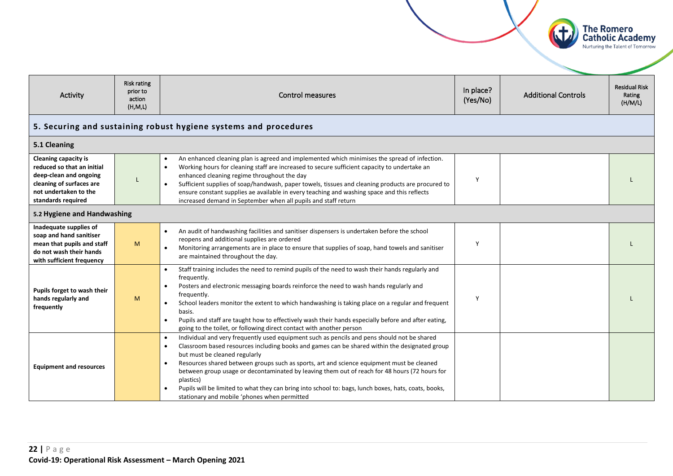<span id="page-21-0"></span>

| Risk rating<br>In place?<br>prior to<br>Activity<br><b>Control measures</b><br>action<br>(Yes/No)<br>(H, M, L)                                                              |                                                                  | <b>Additional Controls</b>                                                                                                                                                                                                                                                                                                                                                                                                                                                                                                                                                                                                 | <b>Residual Risk</b><br>Rating<br>(H/M/L) |  |  |  |
|-----------------------------------------------------------------------------------------------------------------------------------------------------------------------------|------------------------------------------------------------------|----------------------------------------------------------------------------------------------------------------------------------------------------------------------------------------------------------------------------------------------------------------------------------------------------------------------------------------------------------------------------------------------------------------------------------------------------------------------------------------------------------------------------------------------------------------------------------------------------------------------------|-------------------------------------------|--|--|--|
|                                                                                                                                                                             | 5. Securing and sustaining robust hygiene systems and procedures |                                                                                                                                                                                                                                                                                                                                                                                                                                                                                                                                                                                                                            |                                           |  |  |  |
| 5.1 Cleaning                                                                                                                                                                |                                                                  |                                                                                                                                                                                                                                                                                                                                                                                                                                                                                                                                                                                                                            |                                           |  |  |  |
| <b>Cleaning capacity is</b><br>reduced so that an initial<br>deep-clean and ongoing<br>cleaning of surfaces are<br>$\bullet$<br>not undertaken to the<br>standards required |                                                                  | An enhanced cleaning plan is agreed and implemented which minimises the spread of infection.<br>Working hours for cleaning staff are increased to secure sufficient capacity to undertake an<br>enhanced cleaning regime throughout the day<br>Sufficient supplies of soap/handwash, paper towels, tissues and cleaning products are procured to<br>ensure constant supplies ae available in every teaching and washing space and this reflects<br>increased demand in September when all pupils and staff return                                                                                                          | Y                                         |  |  |  |
| 5.2 Hygiene and Handwashing                                                                                                                                                 |                                                                  |                                                                                                                                                                                                                                                                                                                                                                                                                                                                                                                                                                                                                            |                                           |  |  |  |
| Inadequate supplies of<br>soap and hand sanitiser<br>mean that pupils and staff<br>do not wash their hands<br>with sufficient frequency                                     | M                                                                | An audit of handwashing facilities and sanitiser dispensers is undertaken before the school<br>reopens and additional supplies are ordered<br>Monitoring arrangements are in place to ensure that supplies of soap, hand towels and sanitiser<br>$\bullet$<br>are maintained throughout the day.                                                                                                                                                                                                                                                                                                                           | Y                                         |  |  |  |
| Pupils forget to wash their<br>hands regularly and<br>frequently                                                                                                            | M                                                                | Staff training includes the need to remind pupils of the need to wash their hands regularly and<br>$\bullet$<br>frequently.<br>Posters and electronic messaging boards reinforce the need to wash hands regularly and<br>$\bullet$<br>frequently.<br>School leaders monitor the extent to which handwashing is taking place on a regular and frequent<br>$\bullet$<br>basis.<br>Pupils and staff are taught how to effectively wash their hands especially before and after eating,<br>going to the toilet, or following direct contact with another person                                                                | Y                                         |  |  |  |
| <b>Equipment and resources</b>                                                                                                                                              |                                                                  | Individual and very frequently used equipment such as pencils and pens should not be shared<br>$\bullet$<br>Classroom based resources including books and games can be shared within the designated group<br>but must be cleaned regularly<br>Resources shared between groups such as sports, art and science equipment must be cleaned<br>$\bullet$<br>between group usage or decontaminated by leaving them out of reach for 48 hours (72 hours for<br>plastics)<br>Pupils will be limited to what they can bring into school to: bags, lunch boxes, hats, coats, books,<br>stationary and mobile 'phones when permitted |                                           |  |  |  |

The Romero<br>Catholic Academy<br>Nurturing the Talent of Tomorrow

 $(f)$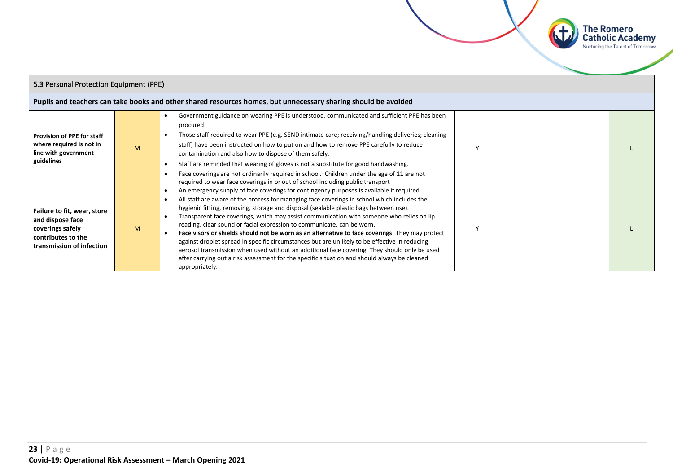

| 5.3 Personal Protection Equipment (PPE)                                                                                |   |                                                                                                                                                                                                                                                                                                                                                                                                                                                                                                                                                                                                                                                                                                                                                                                                                                                                               |  |  |  |
|------------------------------------------------------------------------------------------------------------------------|---|-------------------------------------------------------------------------------------------------------------------------------------------------------------------------------------------------------------------------------------------------------------------------------------------------------------------------------------------------------------------------------------------------------------------------------------------------------------------------------------------------------------------------------------------------------------------------------------------------------------------------------------------------------------------------------------------------------------------------------------------------------------------------------------------------------------------------------------------------------------------------------|--|--|--|
|                                                                                                                        |   | Pupils and teachers can take books and other shared resources homes, but unnecessary sharing should be avoided                                                                                                                                                                                                                                                                                                                                                                                                                                                                                                                                                                                                                                                                                                                                                                |  |  |  |
| <b>Provision of PPE for staff</b><br>where required is not in<br>line with government<br>guidelines                    | M | Government guidance on wearing PPE is understood, communicated and sufficient PPE has been<br>procured.<br>Those staff required to wear PPE (e.g. SEND intimate care; receiving/handling deliveries; cleaning<br>$\bullet$<br>staff) have been instructed on how to put on and how to remove PPE carefully to reduce<br>contamination and also how to dispose of them safely.<br>Staff are reminded that wearing of gloves is not a substitute for good handwashing.<br>Face coverings are not ordinarily required in school. Children under the age of 11 are not<br>required to wear face coverings in or out of school including public transport                                                                                                                                                                                                                          |  |  |  |
| Failure to fit, wear, store<br>and dispose face<br>coverings safely<br>contributes to the<br>transmission of infection | M | An emergency supply of face coverings for contingency purposes is available if required.<br>All staff are aware of the process for managing face coverings in school which includes the<br>hygienic fitting, removing, storage and disposal (sealable plastic bags between use).<br>Transparent face coverings, which may assist communication with someone who relies on lip<br>reading, clear sound or facial expression to communicate, can be worn.<br>Face visors or shields should not be worn as an alternative to face coverings. They may protect<br>against droplet spread in specific circumstances but are unlikely to be effective in reducing<br>aerosol transmission when used without an additional face covering. They should only be used<br>after carrying out a risk assessment for the specific situation and should always be cleaned<br>appropriately. |  |  |  |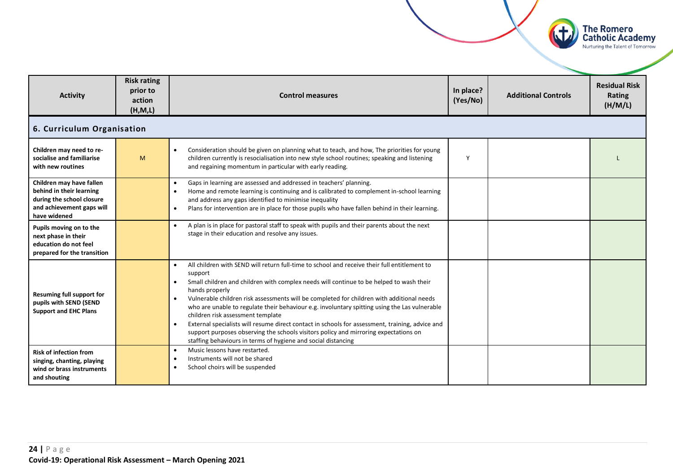

<span id="page-23-0"></span>

| <b>Activity</b>                                                                                                                | <b>Risk rating</b><br>prior to<br>action<br>(H,M,L) | In place?<br><b>Control measures</b><br>(Yes/No)                                                                                                                                                                                                                                                                                                                                                                                                                                                                                                                                                                                                                                                                                                                        |   | <b>Additional Controls</b> | <b>Residual Risk</b><br>Rating<br>(H/M/L) |  |  |
|--------------------------------------------------------------------------------------------------------------------------------|-----------------------------------------------------|-------------------------------------------------------------------------------------------------------------------------------------------------------------------------------------------------------------------------------------------------------------------------------------------------------------------------------------------------------------------------------------------------------------------------------------------------------------------------------------------------------------------------------------------------------------------------------------------------------------------------------------------------------------------------------------------------------------------------------------------------------------------------|---|----------------------------|-------------------------------------------|--|--|
|                                                                                                                                | 6. Curriculum Organisation                          |                                                                                                                                                                                                                                                                                                                                                                                                                                                                                                                                                                                                                                                                                                                                                                         |   |                            |                                           |  |  |
| Children may need to re-<br>socialise and familiarise<br>with new routines                                                     | M                                                   | Consideration should be given on planning what to teach, and how, The priorities for young<br>$\bullet$<br>children currently is resocialisation into new style school routines; speaking and listening<br>and regaining momentum in particular with early reading.                                                                                                                                                                                                                                                                                                                                                                                                                                                                                                     | Y |                            |                                           |  |  |
| Children may have fallen<br>behind in their learning<br>during the school closure<br>and achievement gaps will<br>have widened |                                                     | Gaps in learning are assessed and addressed in teachers' planning.<br>$\bullet$<br>Home and remote learning is continuing and is calibrated to complement in-school learning<br>$\bullet$<br>and address any gaps identified to minimise inequality<br>Plans for intervention are in place for those pupils who have fallen behind in their learning.<br>$\bullet$                                                                                                                                                                                                                                                                                                                                                                                                      |   |                            |                                           |  |  |
| Pupils moving on to the<br>next phase in their<br>education do not feel<br>prepared for the transition                         |                                                     | A plan is in place for pastoral staff to speak with pupils and their parents about the next<br>$\bullet$<br>stage in their education and resolve any issues.                                                                                                                                                                                                                                                                                                                                                                                                                                                                                                                                                                                                            |   |                            |                                           |  |  |
| <b>Resuming full support for</b><br>pupils with SEND (SEND<br><b>Support and EHC Plans</b>                                     |                                                     | All children with SEND will return full-time to school and receive their full entitlement to<br>$\bullet$<br>support<br>Small children and children with complex needs will continue to be helped to wash their<br>$\bullet$<br>hands properly<br>Vulnerable children risk assessments will be completed for children with additional needs<br>$\bullet$<br>who are unable to regulate their behaviour e.g. involuntary spitting using the Las vulnerable<br>children risk assessment template<br>External specialists will resume direct contact in schools for assessment, training, advice and<br>$\bullet$<br>support purposes observing the schools visitors policy and mirroring expectations on<br>staffing behaviours in terms of hygiene and social distancing |   |                            |                                           |  |  |
| <b>Risk of infection from</b><br>singing, chanting, playing<br>wind or brass instruments<br>and shouting                       |                                                     | Music lessons have restarted.<br>$\bullet$<br>Instruments will not be shared<br>$\bullet$<br>School choirs will be suspended<br>$\bullet$                                                                                                                                                                                                                                                                                                                                                                                                                                                                                                                                                                                                                               |   |                            |                                           |  |  |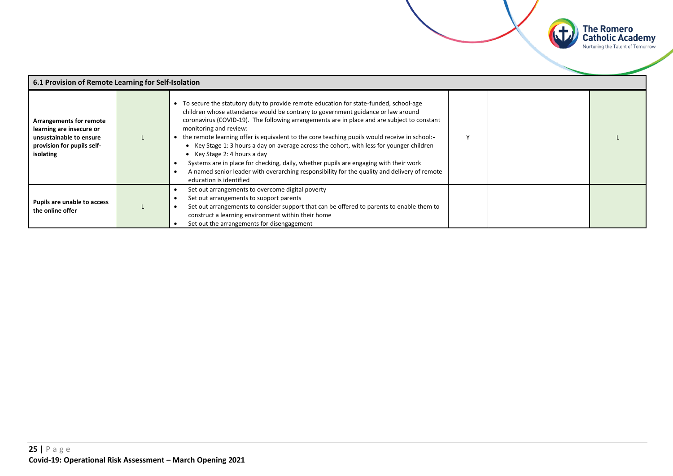

| 6.1 Provision of Remote Learning for Self-Isolation                                                                              |  |                                                                                                                                                                                                                                                                                                                                                                                                                                                                                                                                                                                                                                                                                                                                                        |  |  |  |
|----------------------------------------------------------------------------------------------------------------------------------|--|--------------------------------------------------------------------------------------------------------------------------------------------------------------------------------------------------------------------------------------------------------------------------------------------------------------------------------------------------------------------------------------------------------------------------------------------------------------------------------------------------------------------------------------------------------------------------------------------------------------------------------------------------------------------------------------------------------------------------------------------------------|--|--|--|
| <b>Arrangements for remote</b><br>learning are insecure or<br>unsustainable to ensure<br>provision for pupils self-<br>isolating |  | • To secure the statutory duty to provide remote education for state-funded, school-age<br>children whose attendance would be contrary to government guidance or law around<br>coronavirus (COVID-19). The following arrangements are in place and are subject to constant<br>monitoring and review:<br>the remote learning offer is equivalent to the core teaching pupils would receive in school:-<br>• Key Stage 1: 3 hours a day on average across the cohort, with less for younger children<br>• Key Stage 2: 4 hours a day<br>Systems are in place for checking, daily, whether pupils are engaging with their work<br>A named senior leader with overarching responsibility for the quality and delivery of remote<br>education is identified |  |  |  |
| Pupils are unable to access<br>the online offer                                                                                  |  | Set out arrangements to overcome digital poverty<br>Set out arrangements to support parents<br>Set out arrangements to consider support that can be offered to parents to enable them to<br>construct a learning environment within their home<br>Set out the arrangements for disengagement                                                                                                                                                                                                                                                                                                                                                                                                                                                           |  |  |  |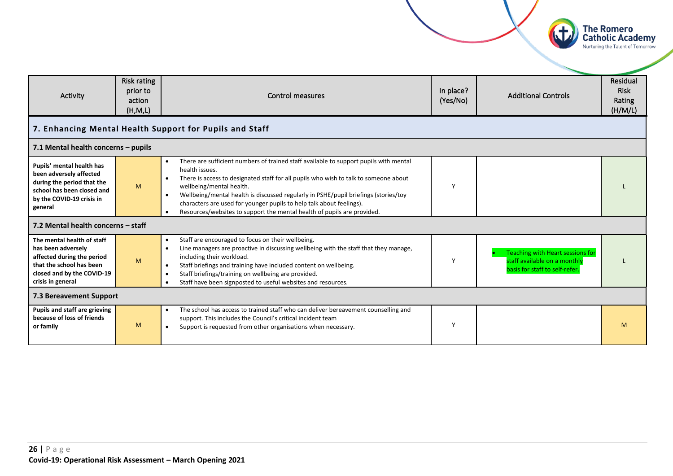

<span id="page-25-0"></span>

| Activity                                                                                                                                                      | Risk rating<br>prior to<br>action<br>(H, M, L) | <b>Control measures</b>                                                                                                                                                                                                                                                                                                                                                                                                                                                                                      | In place?<br>(Yes/No) | <b>Additional Controls</b>                                                                         | Residual<br><b>Risk</b><br>Rating<br>(H/M/L) |
|---------------------------------------------------------------------------------------------------------------------------------------------------------------|------------------------------------------------|--------------------------------------------------------------------------------------------------------------------------------------------------------------------------------------------------------------------------------------------------------------------------------------------------------------------------------------------------------------------------------------------------------------------------------------------------------------------------------------------------------------|-----------------------|----------------------------------------------------------------------------------------------------|----------------------------------------------|
|                                                                                                                                                               |                                                | 7. Enhancing Mental Health Support for Pupils and Staff                                                                                                                                                                                                                                                                                                                                                                                                                                                      |                       |                                                                                                    |                                              |
| 7.1 Mental health concerns - pupils                                                                                                                           |                                                |                                                                                                                                                                                                                                                                                                                                                                                                                                                                                                              |                       |                                                                                                    |                                              |
| Pupils' mental health has<br>been adversely affected<br>during the period that the<br>school has been closed and<br>by the COVID-19 crisis in<br>general      | M                                              | There are sufficient numbers of trained staff available to support pupils with mental<br>$\bullet$<br>health issues.<br>There is access to designated staff for all pupils who wish to talk to someone about<br>wellbeing/mental health.<br>Wellbeing/mental health is discussed regularly in PSHE/pupil briefings (stories/toy<br>$\bullet$<br>characters are used for younger pupils to help talk about feelings).<br>Resources/websites to support the mental health of pupils are provided.<br>$\bullet$ | ٧                     |                                                                                                    |                                              |
| 7.2 Mental health concerns - staff                                                                                                                            |                                                |                                                                                                                                                                                                                                                                                                                                                                                                                                                                                                              |                       |                                                                                                    |                                              |
| The mental health of staff<br>has been adversely<br>affected during the period<br>that the school has been<br>closed and by the COVID-19<br>crisis in general | M                                              | Staff are encouraged to focus on their wellbeing.<br>$\bullet$<br>Line managers are proactive in discussing wellbeing with the staff that they manage,<br>$\bullet$<br>including their workload.<br>Staff briefings and training have included content on wellbeing.<br>$\bullet$<br>Staff briefings/training on wellbeing are provided.<br>$\bullet$<br>Staff have been signposted to useful websites and resources.<br>$\bullet$                                                                           | Y                     | Teaching with Heart sessions for<br>staff available on a monthly<br>basis for staff to self-refer. |                                              |
| <b>7.3 Bereavement Support</b>                                                                                                                                |                                                |                                                                                                                                                                                                                                                                                                                                                                                                                                                                                                              |                       |                                                                                                    |                                              |
| Pupils and staff are grieving<br>because of loss of friends<br>or family                                                                                      | M                                              | The school has access to trained staff who can deliver bereavement counselling and<br>$\bullet$<br>support. This includes the Council's critical incident team<br>Support is requested from other organisations when necessary.<br>$\bullet$                                                                                                                                                                                                                                                                 | γ                     |                                                                                                    | M                                            |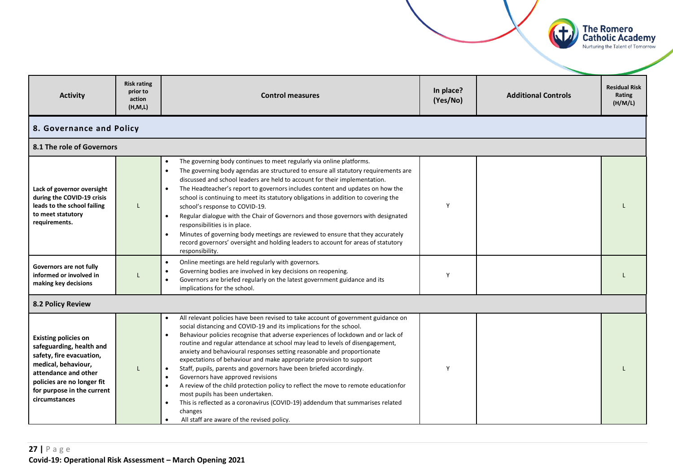<span id="page-26-0"></span>

**The Romero Catholic Academy**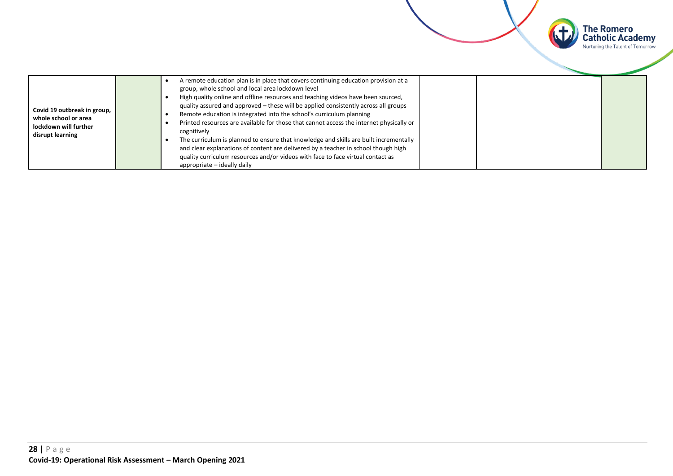

**The Romero<br>Catholic Academy** Nurturing the Talent of Tomorrow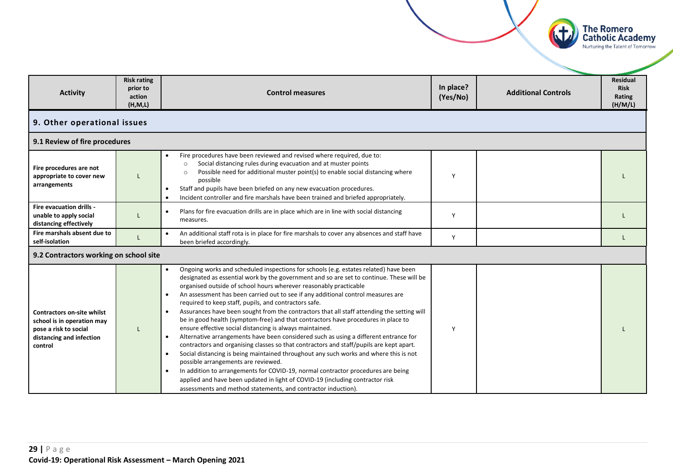

<span id="page-28-0"></span>

| <b>Activity</b>                                                                                                                 | <b>Risk rating</b><br>prior to<br>action<br>(H, M, L)                                                            | <b>Control measures</b>                                                                                                                                                                                                                                                                                                                                                                                                                                                                                                                                                                                                                                                                                                                                                                                                                                                                                                                                                                                                                                                                                                                                                                                                                                                     | In place?<br>(Yes/No) | <b>Additional Controls</b> | Residual<br><b>Risk</b><br>Rating<br>(H/M/L) |
|---------------------------------------------------------------------------------------------------------------------------------|------------------------------------------------------------------------------------------------------------------|-----------------------------------------------------------------------------------------------------------------------------------------------------------------------------------------------------------------------------------------------------------------------------------------------------------------------------------------------------------------------------------------------------------------------------------------------------------------------------------------------------------------------------------------------------------------------------------------------------------------------------------------------------------------------------------------------------------------------------------------------------------------------------------------------------------------------------------------------------------------------------------------------------------------------------------------------------------------------------------------------------------------------------------------------------------------------------------------------------------------------------------------------------------------------------------------------------------------------------------------------------------------------------|-----------------------|----------------------------|----------------------------------------------|
| 9. Other operational issues                                                                                                     |                                                                                                                  |                                                                                                                                                                                                                                                                                                                                                                                                                                                                                                                                                                                                                                                                                                                                                                                                                                                                                                                                                                                                                                                                                                                                                                                                                                                                             |                       |                            |                                              |
| 9.1 Review of fire procedures                                                                                                   |                                                                                                                  |                                                                                                                                                                                                                                                                                                                                                                                                                                                                                                                                                                                                                                                                                                                                                                                                                                                                                                                                                                                                                                                                                                                                                                                                                                                                             |                       |                            |                                              |
| Fire procedures are not<br>appropriate to cover new<br>arrangements                                                             |                                                                                                                  | Fire procedures have been reviewed and revised where required, due to:<br>$\bullet$<br>Social distancing rules during evacuation and at muster points<br>$\circ$<br>Possible need for additional muster point(s) to enable social distancing where<br>$\Omega$<br>possible<br>Staff and pupils have been briefed on any new evacuation procedures.<br>٠<br>Incident controller and fire marshals have been trained and briefed appropriately.<br>$\bullet$                                                                                                                                                                                                                                                                                                                                                                                                                                                                                                                                                                                                                                                                                                                                                                                                                  | Υ                     |                            |                                              |
| Fire evacuation drills -<br>unable to apply social<br>distancing effectively                                                    | Plans for fire evacuation drills are in place which are in line with social distancing<br>$\bullet$<br>measures. |                                                                                                                                                                                                                                                                                                                                                                                                                                                                                                                                                                                                                                                                                                                                                                                                                                                                                                                                                                                                                                                                                                                                                                                                                                                                             | Y                     |                            |                                              |
| Fire marshals absent due to<br>self-isolation                                                                                   |                                                                                                                  | An additional staff rota is in place for fire marshals to cover any absences and staff have<br>$\bullet$<br>been briefed accordingly.                                                                                                                                                                                                                                                                                                                                                                                                                                                                                                                                                                                                                                                                                                                                                                                                                                                                                                                                                                                                                                                                                                                                       | Y                     |                            |                                              |
| 9.2 Contractors working on school site                                                                                          |                                                                                                                  |                                                                                                                                                                                                                                                                                                                                                                                                                                                                                                                                                                                                                                                                                                                                                                                                                                                                                                                                                                                                                                                                                                                                                                                                                                                                             |                       |                            |                                              |
| <b>Contractors on-site whilst</b><br>school is in operation may<br>pose a risk to social<br>distancing and infection<br>control |                                                                                                                  | Ongoing works and scheduled inspections for schools (e.g. estates related) have been<br>$\bullet$<br>designated as essential work by the government and so are set to continue. These will be<br>organised outside of school hours wherever reasonably practicable<br>An assessment has been carried out to see if any additional control measures are<br>required to keep staff, pupils, and contractors safe.<br>Assurances have been sought from the contractors that all staff attending the setting will<br>$\bullet$<br>be in good health (symptom-free) and that contractors have procedures in place to<br>ensure effective social distancing is always maintained.<br>Alternative arrangements have been considered such as using a different entrance for<br>$\bullet$<br>contractors and organising classes so that contractors and staff/pupils are kept apart.<br>Social distancing is being maintained throughout any such works and where this is not<br>$\bullet$<br>possible arrangements are reviewed.<br>In addition to arrangements for COVID-19, normal contractor procedures are being<br>$\bullet$<br>applied and have been updated in light of COVID-19 (including contractor risk<br>assessments and method statements, and contractor induction). | Υ                     |                            |                                              |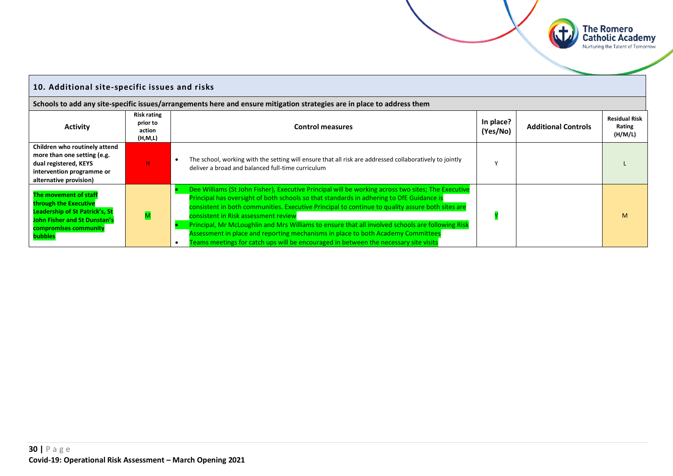

#### <span id="page-29-0"></span>**10. Additional site-specific issues and risks Schools to add any site-specific issues/arrangements here and ensure mitigation strategies are in place to address them Activity Risk rating prior to action (H,M,L) Control measures In place?**<br> **In place?**<br>
(Yes/No) **Additional Controls Residual Risk Rating (H/M/L) Children who routinely attend more than one setting (e.g. dual registered, KEYS intervention programme or alternative provision)** H • The school, working with the setting will ensure that all risk are addressed collaboratively to jointly The school, working with the setting will ensure that all risk are addressed collaboratively to Jointly with the setting with the setting will ensure that all risk are addressed collaboratively to Jointly with the setting **The movement of staff through the Executive Leadership of St Patrick's, St John Fisher and St Dunstan's compromises community bubbles** M • Dee Williams (St John Fisher), Executive Principal will be working across two sites; The Executive Principal has oversight of both schools so that standards in adhering to DfE Guidance is consistent in both communities. Executive Principal to continue to quality assure both sites are consistent in Risk assessment review • Principal, Mr McLoughlin and Mrs Williams to ensure that all involved schools are following Risk Assessment in place and reporting mechanisms in place to both Academy Committees  $\bullet$  Teams meetings for catch ups will be encouraged in between the necessary site visits Y M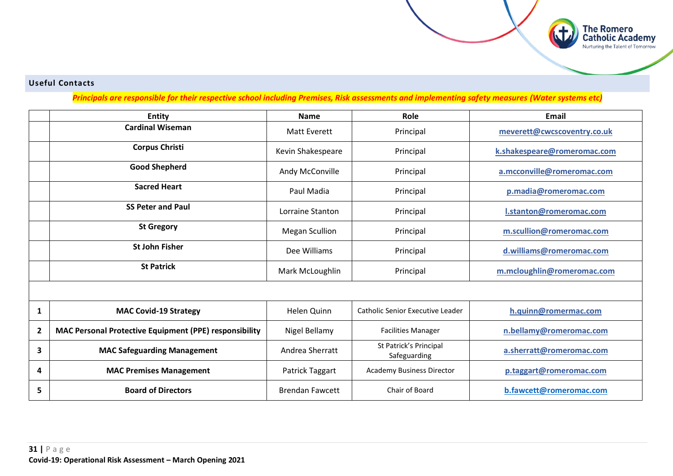#### **Useful Contacts**

*Principals are responsible for their respective school including Premises, Risk assessments and implementing safety measures (Water systems etc)*

**The Romero<br>Catholic Academy**<br>Nurturing the Talent of Tomorrow

|                | <b>Entity</b>                                                 | <b>Name</b>            | Role                                   | <b>Email</b>                |
|----------------|---------------------------------------------------------------|------------------------|----------------------------------------|-----------------------------|
|                | <b>Cardinal Wiseman</b>                                       | <b>Matt Everett</b>    | Principal                              | meverett@cwcscoventry.co.uk |
|                | <b>Corpus Christi</b>                                         | Kevin Shakespeare      | Principal                              | k.shakespeare@romeromac.com |
|                | <b>Good Shepherd</b>                                          | Andy McConville        | Principal                              | a.mcconville@romeromac.com  |
|                | <b>Sacred Heart</b>                                           | Paul Madia             | Principal                              | p.madia@romeromac.com       |
|                | <b>SS Peter and Paul</b>                                      | Lorraine Stanton       | Principal                              | I.stanton@romeromac.com     |
|                | <b>St Gregory</b>                                             | <b>Megan Scullion</b>  | Principal                              | m.scullion@romeromac.com    |
|                | <b>St John Fisher</b>                                         | Dee Williams           | Principal                              | d.williams@romeromac.com    |
|                | <b>St Patrick</b>                                             | Mark McLoughlin        | Principal                              | m.mcloughlin@romeromac.com  |
|                |                                                               |                        |                                        |                             |
| 1              | <b>MAC Covid-19 Strategy</b>                                  | Helen Quinn            | Catholic Senior Executive Leader       | h.quinn@romermac.com        |
| $\overline{2}$ | <b>MAC Personal Protective Equipment (PPE) responsibility</b> | Nigel Bellamy          | <b>Facilities Manager</b>              | n.bellamy@romeromac.com     |
| 3              | <b>MAC Safeguarding Management</b>                            | Andrea Sherratt        | St Patrick's Principal<br>Safeguarding | a.sherratt@romeromac.com    |
| 4              | <b>MAC Premises Management</b>                                | Patrick Taggart        | <b>Academy Business Director</b>       | p.taggart@romeromac.com     |
| 5              | <b>Board of Directors</b>                                     | <b>Brendan Fawcett</b> | Chair of Board                         | b.fawcett@romeromac.com     |